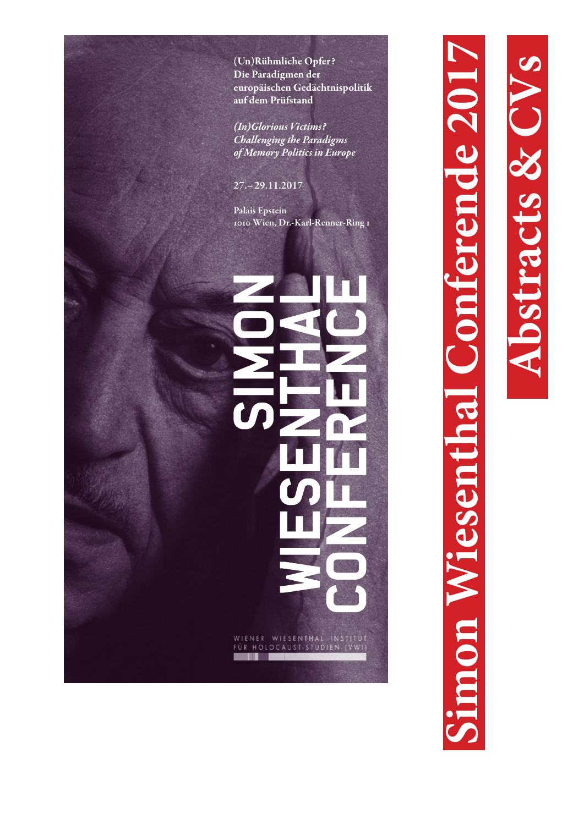(Un)Rühmliche Opfer? Die Paradigmen der europäischen Gedächtnispolitik auf dem Prüfstand

*(In)Glorious Victims? Challenging the Paradigms of Memory Politics in Europe*

27.–29.11.2017

Palais Epstein 1010 Wien, Dr.-Karl-Renner-Ring 1

# WIENER WIESENTHAL INSTITUT<br>FÜR HOLOCAUST-STUDIEN (VWI)

**Simon Wiesenthal Conferende 2017 Abstracts & CVs** ende 201 non Wiesentl

 $\overline{\mathcal{L}}$ 

CES & CIV

strad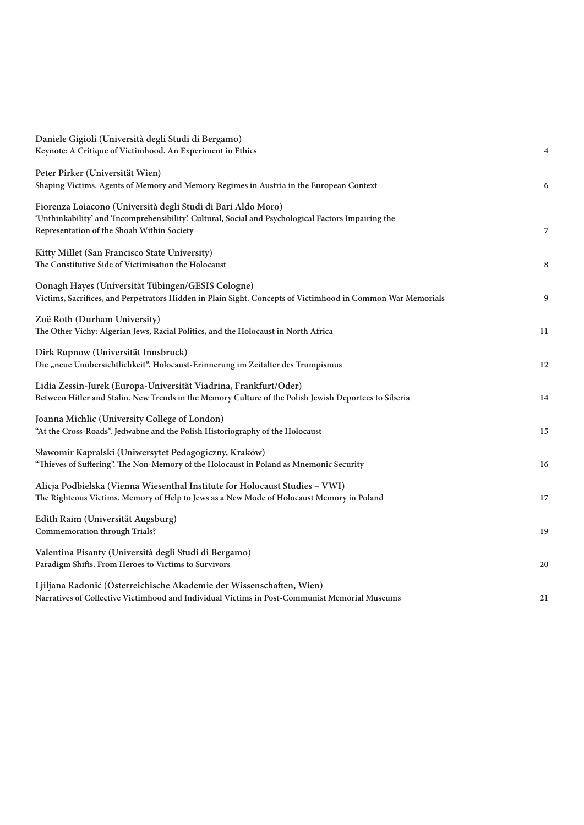| Daniele Gigioli (Università degli Studi di Bergamo)<br>Keynote: A Critique of Victimhood. An Experiment in Ethics                                                                                                  | $\overline{4}$ |
|--------------------------------------------------------------------------------------------------------------------------------------------------------------------------------------------------------------------|----------------|
| Peter Pirker (Universität Wien)<br>Shaping Victims. Agents of Memory and Memory Regimes in Austria in the European Context                                                                                         | 6              |
| Fiorenza Loiacono (Università degli Studi di Bari Aldo Moro)<br>'Unthinkability' and 'Incomprehensibility'. Cultural, Social and Psychological Factors Impairing the<br>Representation of the Shoah Within Society | 7              |
| Kitty Millet (San Francisco State University)<br>The Constitutive Side of Victimisation the Holocaust                                                                                                              | 8              |
| Oonagh Hayes (Universität Tübingen/GESIS Cologne)<br>Victims, Sacrifices, and Perpetrators Hidden in Plain Sight. Concepts of Victimhood in Common War Memorials                                                   | 9              |
| Zoë Roth (Durham University)<br>The Other Vichy: Algerian Jews, Racial Politics, and the Holocaust in North Africa                                                                                                 | 11             |
| Dirk Rupnow (Universität Innsbruck)<br>Die "neue Unübersichtlichkeit". Holocaust-Erinnerung im Zeitalter des Trumpismus                                                                                            | 12             |
| Lidia Zessin-Jurek (Europa-Universität Viadrina, Frankfurt/Oder)<br>Between Hitler and Stalin. New Trends in the Memory Culture of the Polish Jewish Deportees to Siberia                                          | 14             |
| Joanna Michlic (University College of London)<br>"At the Cross-Roads". Jedwabne and the Polish Historiography of the Holocaust                                                                                     | 15             |
| Sławomir Kapralski (Uniwersytet Pedagogiczny, Kraków)<br>"Thieves of Suffering". The Non-Memory of the Holocaust in Poland as Mnemonic Security                                                                    | 16             |
| Alicja Podbielska (Vienna Wiesenthal Institute for Holocaust Studies - VWI)<br>The Righteous Victims. Memory of Help to Jews as a New Mode of Holocaust Memory in Poland                                           | 17             |
| Edith Raim (Universität Augsburg)<br><b>Commemoration through Trials?</b>                                                                                                                                          | 19             |
| Valentina Pisanty (Università degli Studi di Bergamo)<br>Paradigm Shifts. From Heroes to Victims to Survivors                                                                                                      | 20             |
| Ljiljana Radonić (Österreichische Akademie der Wissenschaften, Wien)<br>Narratives of Collective Victimhood and Individual Victims in Post-Communist Memorial Museums                                              | 21             |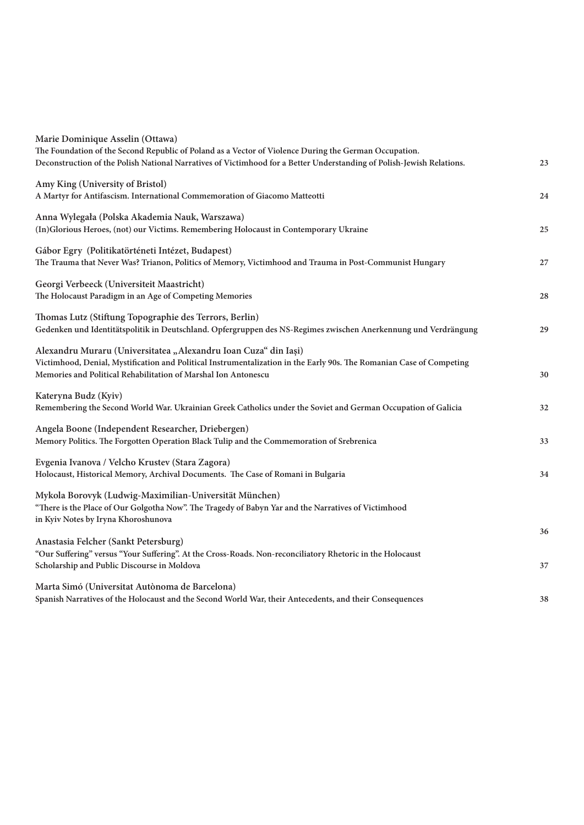| Marie Dominique Asselin (Ottawa)                                                                                                                          |    |
|-----------------------------------------------------------------------------------------------------------------------------------------------------------|----|
| The Foundation of the Second Republic of Poland as a Vector of Violence During the German Occupation.                                                     |    |
| Deconstruction of the Polish National Narratives of Victimhood for a Better Understanding of Polish-Jewish Relations.                                     | 23 |
| Amy King (University of Bristol)                                                                                                                          |    |
| A Martyr for Antifascism. International Commemoration of Giacomo Matteotti                                                                                | 24 |
| Anna Wylegała (Polska Akademia Nauk, Warszawa)                                                                                                            |    |
| (In)Glorious Heroes, (not) our Victims. Remembering Holocaust in Contemporary Ukraine                                                                     | 25 |
| Gábor Egry (Politikatörténeti Intézet, Budapest)                                                                                                          |    |
| The Trauma that Never Was? Trianon, Politics of Memory, Victimhood and Trauma in Post-Communist Hungary                                                   | 27 |
| Georgi Verbeeck (Universiteit Maastricht)                                                                                                                 |    |
| The Holocaust Paradigm in an Age of Competing Memories                                                                                                    | 28 |
| Thomas Lutz (Stiftung Topographie des Terrors, Berlin)                                                                                                    |    |
| Gedenken und Identitätspolitik in Deutschland. Opfergruppen des NS-Regimes zwischen Anerkennung und Verdrängung                                           | 29 |
| Alexandru Muraru (Universitatea "Alexandru Ioan Cuza" din Iași)                                                                                           |    |
| Victimhood, Denial, Mystification and Political Instrumentalization in the Early 90s. The Romanian Case of Competing                                      |    |
| Memories and Political Rehabilitation of Marshal Ion Antonescu                                                                                            | 30 |
| Kateryna Budz (Kyiv)                                                                                                                                      |    |
| Remembering the Second World War. Ukrainian Greek Catholics under the Soviet and German Occupation of Galicia                                             | 32 |
| Angela Boone (Independent Researcher, Driebergen)                                                                                                         |    |
| Memory Politics. The Forgotten Operation Black Tulip and the Commemoration of Srebrenica                                                                  | 33 |
| Evgenia Ivanova / Velcho Krustev (Stara Zagora)                                                                                                           |    |
| Holocaust, Historical Memory, Archival Documents. The Case of Romani in Bulgaria                                                                          | 34 |
| Mykola Borovyk (Ludwig-Maximilian-Universität München)                                                                                                    |    |
| "There is the Place of Our Golgotha Now". The Tragedy of Babyn Yar and the Narratives of Victimhood                                                       |    |
| in Kyiv Notes by Iryna Khoroshunova                                                                                                                       | 36 |
| Anastasia Felcher (Sankt Petersburg)                                                                                                                      |    |
| "Our Suffering" versus "Your Suffering". At the Cross-Roads. Non-reconciliatory Rhetoric in the Holocaust<br>Scholarship and Public Discourse in Moldova  | 37 |
|                                                                                                                                                           |    |
| Marta Simó (Universitat Autònoma de Barcelona)<br>Spanish Narratives of the Holocaust and the Second World War, their Antecedents, and their Consequences | 38 |
|                                                                                                                                                           |    |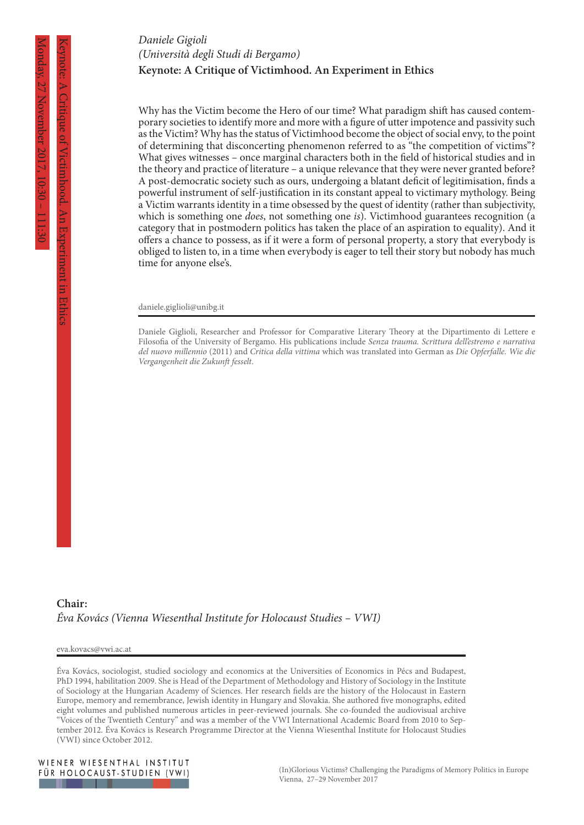# **Keynote: A Critique of Victimhood. An Experiment in Ethics** *Daniele Gigioli (Università degli Studi di Bergamo)*

Why has the Victim become the Hero of our time? What paradigm shift has caused contemporary societies to identify more and more with a figure of utter impotence and passivity such as the Victim? Why has the status of Victimhood become the object of social envy, to the point of determining that disconcerting phenomenon referred to as "the competition of victims"? What gives witnesses – once marginal characters both in the field of historical studies and in the theory and practice of literature – a unique relevance that they were never granted before? A post-democratic society such as ours, undergoing a blatant deficit of legitimisation, finds a powerful instrument of self-justification in its constant appeal to victimary mythology. Being a Victim warrants identity in a time obsessed by the quest of identity (rather than subjectivity, which is something one *does*, not something one *is*). Victimhood guarantees recognition (a category that in postmodern politics has taken the place of an aspiration to equality). And it offers a chance to possess, as if it were a form of personal property, a story that everybody is obliged to listen to, in a time when everybody is eager to tell their story but nobody has much time for anyone else's.

daniele.giglioli@unibg.it

Daniele Giglioli, Researcher and Professor for Comparative Literary Theory at the Dipartimento di Lettere e Filosofia of the University of Bergamo. His publications include *Senza trauma. Scrittura dell'estremo e narrativa del nuovo millennio* (2011) and *Critica della vittima* which was translated into German as *Die Opferfalle. Wie die Vergangenheit die Zukunft fesselt*.

#### **Chair:** *Éva Kovács (Vienna Wiesenthal Institute for Holocaust Studies – VWI)*

eva.kovacs@vwi.ac.at

Éva Kovács, sociologist, studied sociology and economics at the Universities of Economics in Pécs and Budapest, PhD 1994, habilitation 2009. She is Head of the Department of Methodology and History of Sociology in the Institute of Sociology at the Hungarian Academy of Sciences. Her research fields are the history of the Holocaust in Eastern Europe, memory and remembrance, Jewish identity in Hungary and Slovakia. She authored five monographs, edited eight volumes and published numerous articles in peer-reviewed journals. She co-founded the audiovisual archive "Voices of the Twentieth Century" and was a member of the VWI International Academic Board from 2010 to September 2012. Éva Kovács is Research Programme Director at the Vienna Wiesenthal Institute for Holocaust Studies (VWI) since October 2012.



Keynote: A Critique of Victimhood. An Experiment in Ethics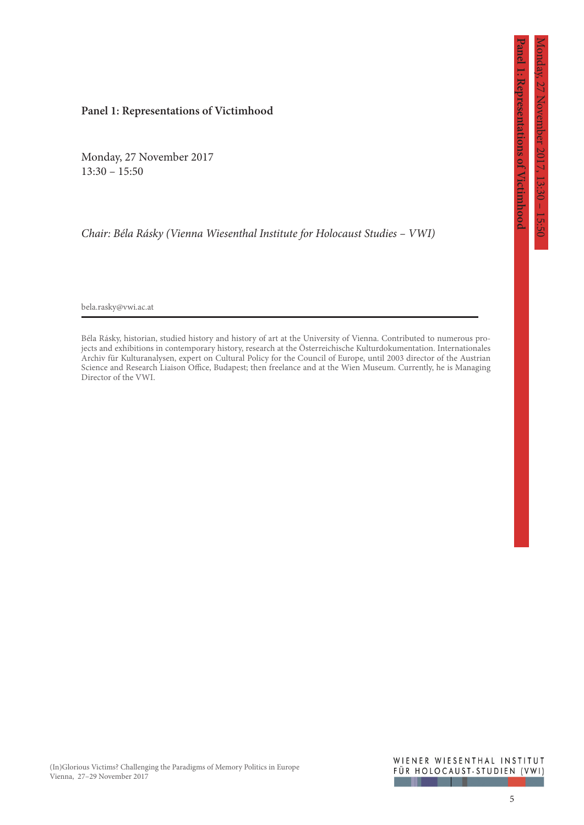# **Panel 1: Representations of Victimhood**

Monday, 27 November 2017 13:30 – 15:50

*Chair: Béla Rásky (Vienna Wiesenthal Institute for Holocaust Studies – VWI)*

bela.rasky@vwi.ac.at

Béla Rásky, historian, studied history and history of art at the University of Vienna. Contributed to numerous projects and exhibitions in contemporary history, research at the Österreichische Kulturdokumentation. Internationales Archiv für Kulturanalysen, expert on Cultural Policy for the Council of Europe, until 2003 director of the Austrian Science and Research Liaison Office, Budapest; then freelance and at the Wien Museum. Currently, he is Managing Director of the VWI.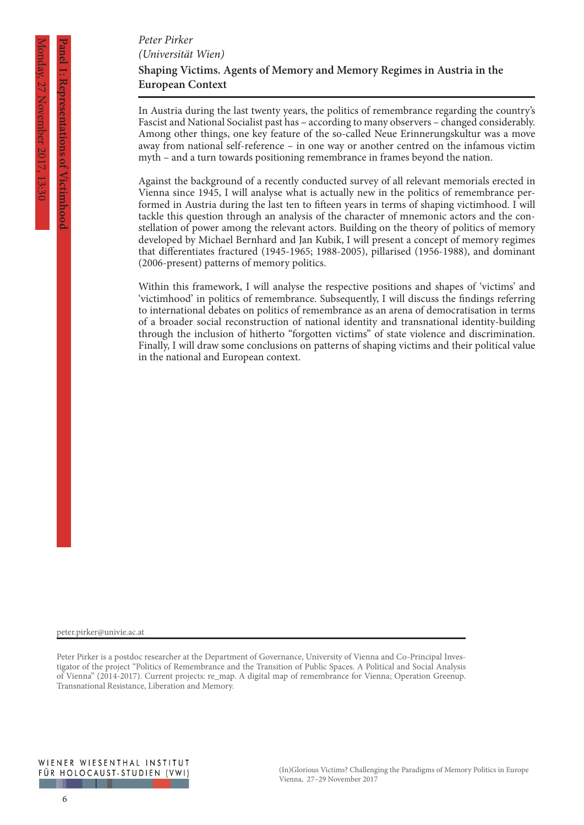**Panel 1: Representations of Victimhood**

I: Kepresentations of Nictimpoo

# **Shaping Victims. Agents of Memory and Memory Regimes in Austria in the European Context** *Peter Pirker (Universität Wien)*

In Austria during the last twenty years, the politics of remembrance regarding the country's Fascist and National Socialist past has – according to many observers – changed considerably. Among other things, one key feature of the so-called Neue Erinnerungskultur was a move away from national self-reference – in one way or another centred on the infamous victim myth – and a turn towards positioning remembrance in frames beyond the nation.

Against the background of a recently conducted survey of all relevant memorials erected in Vienna since 1945, I will analyse what is actually new in the politics of remembrance performed in Austria during the last ten to fifteen years in terms of shaping victimhood. I will tackle this question through an analysis of the character of mnemonic actors and the constellation of power among the relevant actors. Building on the theory of politics of memory developed by Michael Bernhard and Jan Kubik, I will present a concept of memory regimes that differentiates fractured (1945-1965; 1988-2005), pillarised (1956-1988), and dominant (2006-present) patterns of memory politics.

Within this framework, I will analyse the respective positions and shapes of 'victims' and 'victimhood' in politics of remembrance. Subsequently, I will discuss the findings referring to international debates on politics of remembrance as an arena of democratisation in terms of a broader social reconstruction of national identity and transnational identity-building through the inclusion of hitherto "forgotten victims" of state violence and discrimination. Finally, I will draw some conclusions on patterns of shaping victims and their political value in the national and European context.

peter.pirker@univie.ac.at

Peter Pirker is a postdoc researcher at the Department of Governance, University of Vienna and Co-Principal Investigator of the project "Politics of Remembrance and the Transition of Public Spaces. A Political and Social Analysis of Vienna" (2014-2017). Current projects: re\_map. A digital map of remembrance for Vienna; Operation Greenup. Transnational Resistance, Liberation and Memory.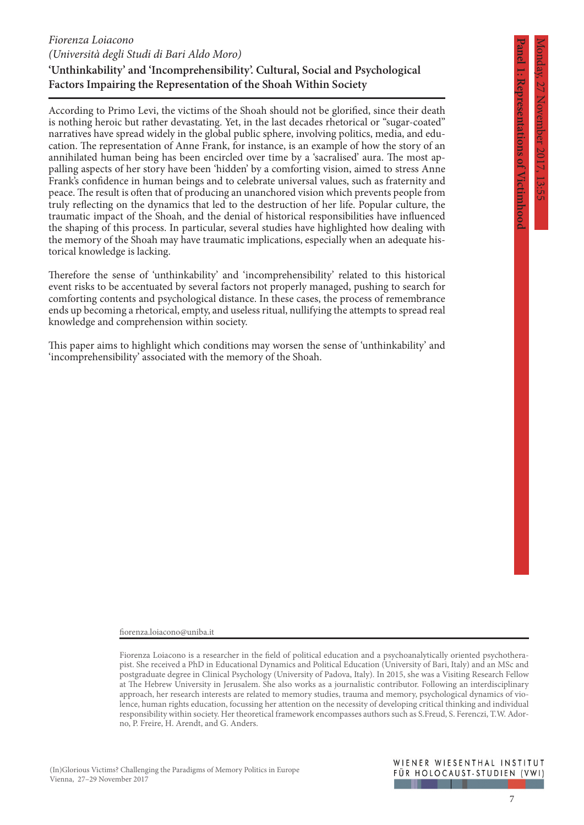I: Kepresentations of Victimhood

# *Fiorenza Loiacono (Università degli Studi di Bari Aldo Moro)*

# **'Unthinkability' and 'Incomprehensibility'. Cultural, Social and Psychological Factors Impairing the Representation of the Shoah Within Society**

According to Primo Levi, the victims of the Shoah should not be glorified, since their death is nothing heroic but rather devastating. Yet, in the last decades rhetorical or "sugar-coated" narratives have spread widely in the global public sphere, involving politics, media, and education. The representation of Anne Frank, for instance, is an example of how the story of an annihilated human being has been encircled over time by a 'sacralised' aura. The most appalling aspects of her story have been 'hidden' by a comforting vision, aimed to stress Anne Frank's confidence in human beings and to celebrate universal values, such as fraternity and peace. The result is often that of producing an unanchored vision which prevents people from truly reflecting on the dynamics that led to the destruction of her life. Popular culture, the traumatic impact of the Shoah, and the denial of historical responsibilities have influenced the shaping of this process. In particular, several studies have highlighted how dealing with the memory of the Shoah may have traumatic implications, especially when an adequate historical knowledge is lacking.

Therefore the sense of 'unthinkability' and 'incomprehensibility' related to this historical event risks to be accentuated by several factors not properly managed, pushing to search for comforting contents and psychological distance. In these cases, the process of remembrance ends up becoming a rhetorical, empty, and useless ritual, nullifying the attempts to spread real knowledge and comprehension within society.

This paper aims to highlight which conditions may worsen the sense of 'unthinkability' and 'incomprehensibility' associated with the memory of the Shoah.

fiorenza.loiacono@uniba.it

Fiorenza Loiacono is a researcher in the field of political education and a psychoanalytically oriented psychotherapist. She received a PhD in Educational Dynamics and Political Education (University of Bari, Italy) and an MSc and postgraduate degree in Clinical Psychology (University of Padova, Italy). In 2015, she was a Visiting Research Fellow at The Hebrew University in Jerusalem. She also works as a journalistic contributor. Following an interdisciplinary approach, her research interests are related to memory studies, trauma and memory, psychological dynamics of violence, human rights education, focussing her attention on the necessity of developing critical thinking and individual responsibility within society. Her theoretical framework encompasses authors such as S.Freud, S. Ferenczi, T.W. Adorno, P. Freire, H. Arendt, and G. Anders.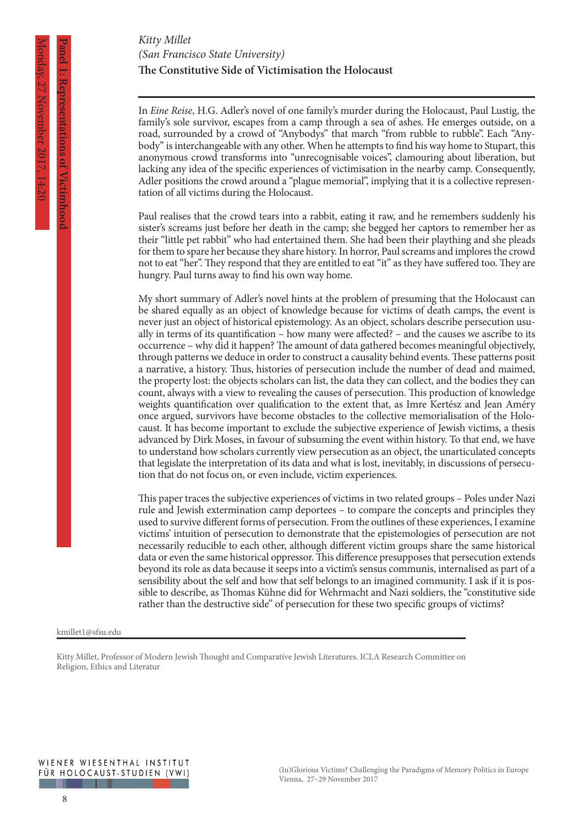# **The Constitutive Side of Victimisation the Holocaust** *Kitty Millet (San Francisco State University)*

In *Eine Reise*, H.G. Adler's novel of one family's murder during the Holocaust, Paul Lustig, the family's sole survivor, escapes from a camp through a sea of ashes. He emerges outside, on a road, surrounded by a crowd of "Anybodys" that march "from rubble to rubble". Each "Anybody" is interchangeable with any other. When he attempts to find his way home to Stupart, this anonymous crowd transforms into "unrecognisable voices", clamouring about liberation, but lacking any idea of the specific experiences of victimisation in the nearby camp. Consequently, Adler positions the crowd around a "plague memorial", implying that it is a collective representation of all victims during the Holocaust.

Paul realises that the crowd tears into a rabbit, eating it raw, and he remembers suddenly his sister's screams just before her death in the camp; she begged her captors to remember her as their "little pet rabbit" who had entertained them. She had been their plaything and she pleads for them to spare her because they share history. In horror, Paul screams and implores the crowd not to eat "her". They respond that they are entitled to eat "it" as they have suffered too. They are hungry. Paul turns away to find his own way home.

My short summary of Adler's novel hints at the problem of presuming that the Holocaust can be shared equally as an object of knowledge because for victims of death camps, the event is never just an object of historical epistemology. As an object, scholars describe persecution usually in terms of its quantification – how many were affected? – and the causes we ascribe to its occurrence – why did it happen? The amount of data gathered becomes meaningful objectively, through patterns we deduce in order to construct a causality behind events. These patterns posit a narrative, a history. Thus, histories of persecution include the number of dead and maimed, the property lost: the objects scholars can list, the data they can collect, and the bodies they can count, always with a view to revealing the causes of persecution. This production of knowledge weights quantification over qualification to the extent that, as Imre Kertész and Jean Améry once argued, survivors have become obstacles to the collective memorialisation of the Holocaust. It has become important to exclude the subjective experience of Jewish victims, a thesis advanced by Dirk Moses, in favour of subsuming the event within history. To that end, we have to understand how scholars currently view persecution as an object, the unarticulated concepts that legislate the interpretation of its data and what is lost, inevitably, in discussions of persecution that do not focus on, or even include, victim experiences.

This paper traces the subjective experiences of victims in two related groups – Poles under Nazi rule and Jewish extermination camp deportees – to compare the concepts and principles they used to survive different forms of persecution. From the outlines of these experiences, I examine victims' intuition of persecution to demonstrate that the epistemologies of persecution are not necessarily reducible to each other, although different victim groups share the same historical data or even the same historical oppressor. This difference presupposes that persecution extends beyond its role as data because it seeps into a victim's sensus communis, internalised as part of a sensibility about the self and how that self belongs to an imagined community. I ask if it is possible to describe, as Thomas Kühne did for Wehrmacht and Nazi soldiers, the "constitutive side rather than the destructive side" of persecution for these two specific groups of victims?

#### kmillet1@sfsu.edu

Kitty Millet, Professor of Modern Jewish Thought and Comparative Jewish Literatures. ICLA Research Committee on Religion, Ethics and Literatur

**Panel 1: Representations of Victimhood**

Representations of Victimhoo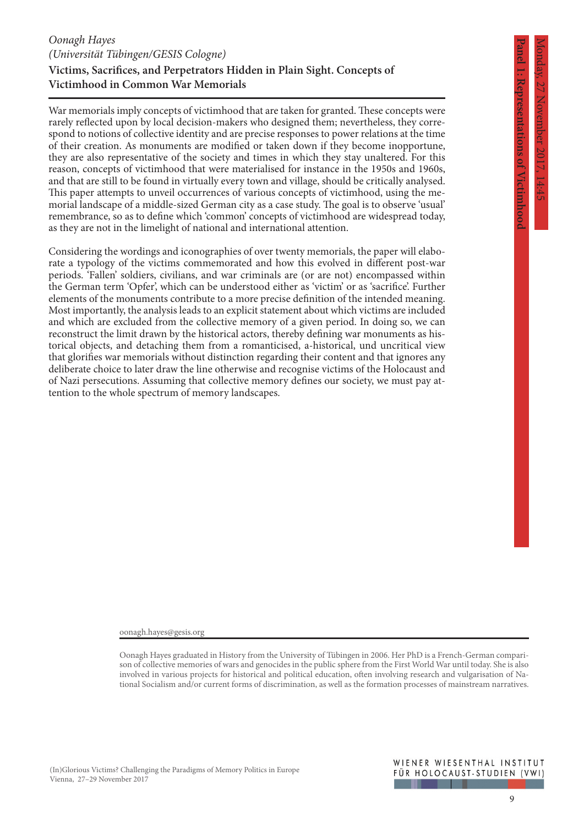**Panel 1: Representations of Victimhood**

I: Kepresentations of  $\times$ ictimhood

# **Victims, Sacrifices, and Perpetrators Hidden in Plain Sight. Concepts of Victimhood in Common War Memorials** *Oonagh Hayes (Universität Tübingen/GESIS Cologne)*

War memorials imply concepts of victimhood that are taken for granted. These concepts were rarely reflected upon by local decision-makers who designed them; nevertheless, they correspond to notions of collective identity and are precise responses to power relations at the time of their creation. As monuments are modified or taken down if they become inopportune, they are also representative of the society and times in which they stay unaltered. For this reason, concepts of victimhood that were materialised for instance in the 1950s and 1960s, and that are still to be found in virtually every town and village, should be critically analysed. This paper attempts to unveil occurrences of various concepts of victimhood, using the memorial landscape of a middle-sized German city as a case study. The goal is to observe 'usual' remembrance, so as to define which 'common' concepts of victimhood are widespread today, as they are not in the limelight of national and international attention.

Considering the wordings and iconographies of over twenty memorials, the paper will elaborate a typology of the victims commemorated and how this evolved in different post-war periods. 'Fallen' soldiers, civilians, and war criminals are (or are not) encompassed within the German term 'Opfer', which can be understood either as 'victim' or as 'sacrifice'. Further elements of the monuments contribute to a more precise definition of the intended meaning. Most importantly, the analysis leads to an explicit statement about which victims are included and which are excluded from the collective memory of a given period. In doing so, we can reconstruct the limit drawn by the historical actors, thereby defining war monuments as historical objects, and detaching them from a romanticised, a-historical, und uncritical view that glorifies war memorials without distinction regarding their content and that ignores any deliberate choice to later draw the line otherwise and recognise victims of the Holocaust and of Nazi persecutions. Assuming that collective memory defines our society, we must pay attention to the whole spectrum of memory landscapes.

oonagh.hayes@gesis.org

Oonagh Hayes graduated in History from the University of Tübingen in 2006. Her PhD is a French-German comparison of collective memories of wars and genocides in the public sphere from the First World War until today. She is also involved in various projects for historical and political education, often involving research and vulgarisation of National Socialism and/or current forms of discrimination, as well as the formation processes of mainstream narratives.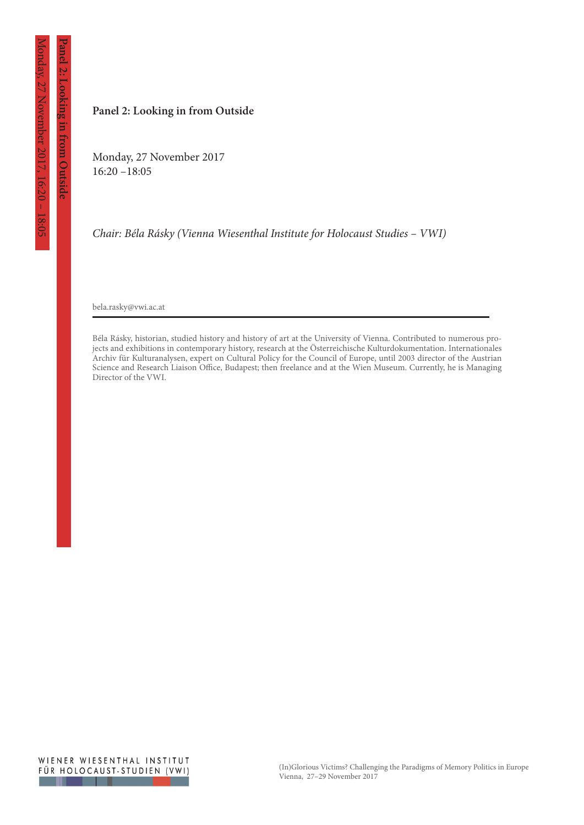**Panel 2: Looking in from Outside**

anel 2: Looking in from Outside

#### **Panel 2: Looking in from Outside**

Monday, 27 November 2017 16:20 –18:05

*Chair: Béla Rásky (Vienna Wiesenthal Institute for Holocaust Studies – VWI)*

bela.rasky@vwi.ac.at

Béla Rásky, historian, studied history and history of art at the University of Vienna. Contributed to numerous projects and exhibitions in contemporary history, research at the Österreichische Kulturdokumentation. Internationales Archiv für Kulturanalysen, expert on Cultural Policy for the Council of Europe, until 2003 director of the Austrian Science and Research Liaison Office, Budapest; then freelance and at the Wien Museum. Currently, he is Managing Director of the VWI.

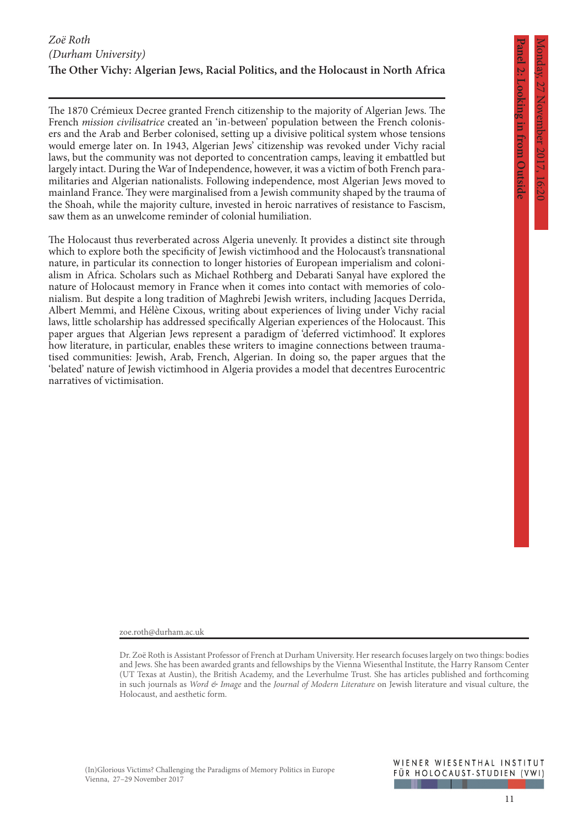2: Looking in trom Outside

# **The Other Vichy: Algerian Jews, Racial Politics, and the Holocaust in North Africa** *Zoë Roth (Durham University)*

The 1870 Crémieux Decree granted French citizenship to the majority of Algerian Jews. The French *mission civilisatrice* created an 'in-between' population between the French colonisers and the Arab and Berber colonised, setting up a divisive political system whose tensions would emerge later on. In 1943, Algerian Jews' citizenship was revoked under Vichy racial laws, but the community was not deported to concentration camps, leaving it embattled but largely intact. During the War of Independence, however, it was a victim of both French paramilitaries and Algerian nationalists. Following independence, most Algerian Jews moved to mainland France. They were marginalised from a Jewish community shaped by the trauma of the Shoah, while the majority culture, invested in heroic narratives of resistance to Fascism, saw them as an unwelcome reminder of colonial humiliation.

The Holocaust thus reverberated across Algeria unevenly. It provides a distinct site through which to explore both the specificity of Jewish victimhood and the Holocaust's transnational nature, in particular its connection to longer histories of European imperialism and colonialism in Africa. Scholars such as Michael Rothberg and Debarati Sanyal have explored the nature of Holocaust memory in France when it comes into contact with memories of colonialism. But despite a long tradition of Maghrebi Jewish writers, including Jacques Derrida, Albert Memmi, and Hélène Cixous, writing about experiences of living under Vichy racial laws, little scholarship has addressed specifically Algerian experiences of the Holocaust. This paper argues that Algerian Jews represent a paradigm of 'deferred victimhood'. It explores how literature, in particular, enables these writers to imagine connections between traumatised communities: Jewish, Arab, French, Algerian. In doing so, the paper argues that the 'belated' nature of Jewish victimhood in Algeria provides a model that decentres Eurocentric narratives of victimisation.

zoe.roth@durham.ac.uk

Dr. Zoë Roth is Assistant Professor of French at Durham University. Her research focuses largely on two things: bodies and Jews. She has been awarded grants and fellowships by the Vienna Wiesenthal Institute, the Harry Ransom Center (UT Texas at Austin), the British Academy, and the Leverhulme Trust. She has articles published and forthcoming in such journals as *Word & Image* and the *Journal of Modern Literature* on Jewish literature and visual culture, the Holocaust, and aesthetic form.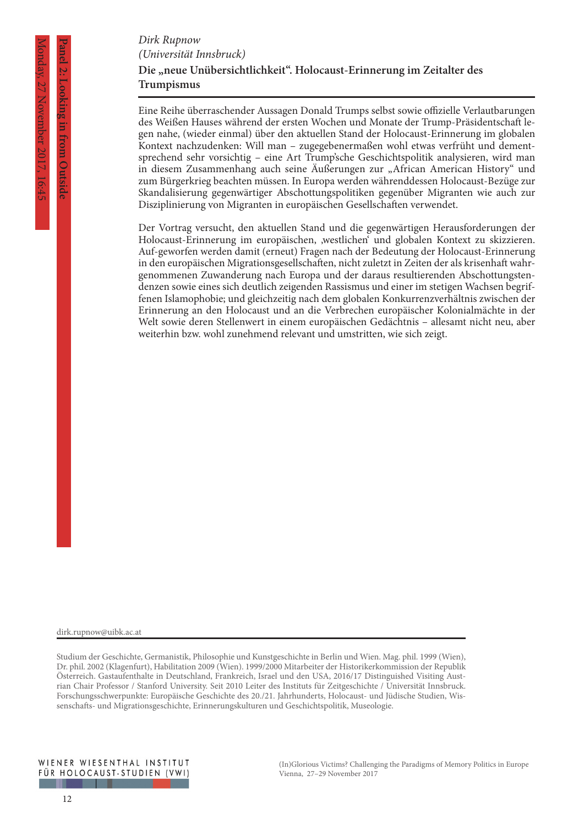**Panel 2: Looking in from Outside**

2: Looking in trom Outside

### **Die "neue Unübersichtlichkeit". Holocaust-Erinnerung im Zeitalter des Trumpismus** *Dirk Rupnow (Universität Innsbruck)*

Eine Reihe überraschender Aussagen Donald Trumps selbst sowie offizielle Verlautbarungen des Weißen Hauses während der ersten Wochen und Monate der Trump-Präsidentschaft legen nahe, (wieder einmal) über den aktuellen Stand der Holocaust-Erinnerung im globalen Kontext nachzudenken: Will man – zugegebenermaßen wohl etwas verfrüht und dementsprechend sehr vorsichtig – eine Art Trump'sche Geschichtspolitik analysieren, wird man in diesem Zusammenhang auch seine Äußerungen zur "African American History" und zum Bürgerkrieg beachten müssen. In Europa werden währenddessen Holocaust-Bezüge zur Skandalisierung gegenwärtiger Abschottungspolitiken gegenüber Migranten wie auch zur Disziplinierung von Migranten in europäischen Gesellschaften verwendet.

Der Vortrag versucht, den aktuellen Stand und die gegenwärtigen Herausforderungen der Holocaust-Erinnerung im europäischen, 'westlichen' und globalen Kontext zu skizzieren. Auf-geworfen werden damit (erneut) Fragen nach der Bedeutung der Holocaust-Erinnerung in den europäischen Migrationsgesellschaften, nicht zuletzt in Zeiten der als krisenhaft wahrgenommenen Zuwanderung nach Europa und der daraus resultierenden Abschottungstendenzen sowie eines sich deutlich zeigenden Rassismus und einer im stetigen Wachsen begriffenen Islamophobie; und gleichzeitig nach dem globalen Konkurrenzverhältnis zwischen der Erinnerung an den Holocaust und an die Verbrechen europäischer Kolonialmächte in der Welt sowie deren Stellenwert in einem europäischen Gedächtnis – allesamt nicht neu, aber weiterhin bzw. wohl zunehmend relevant und umstritten, wie sich zeigt.

dirk.rupnow@uibk.ac.at

Studium der Geschichte, Germanistik, Philosophie und Kunstgeschichte in Berlin und Wien. Mag. phil. 1999 (Wien), Dr. phil. 2002 (Klagenfurt), Habilitation 2009 (Wien). 1999/2000 Mitarbeiter der Historikerkommission der Republik Österreich. Gastaufenthalte in Deutschland, Frankreich, Israel und den USA, 2016/17 Distinguished Visiting Austrian Chair Professor / Stanford University. Seit 2010 Leiter des Instituts für Zeitgeschichte / Universität Innsbruck. Forschungsschwerpunkte: Europäische Geschichte des 20./21. Jahrhunderts, Holocaust- und Jüdische Studien, Wissenschafts- und Migrationsgeschichte, Erinnerungskulturen und Geschichtspolitik, Museologie.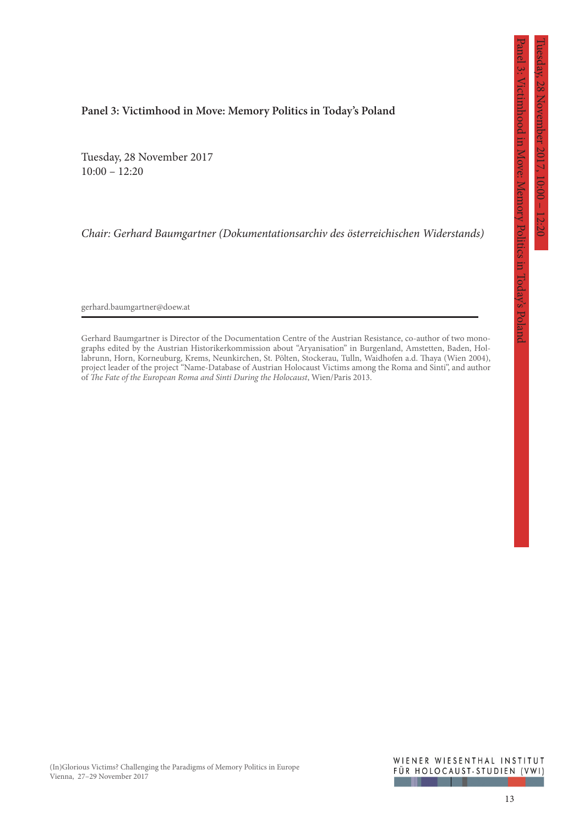Panel 3: Victimhood in Move: Memory Politics in Today's Poland

ictimhood in Move: Memory Politics in Today's Poland

#### **Panel 3: Victimhood in Move: Memory Politics in Today's Poland**

Tuesday, 28 November 2017  $10:00 - 12:20$ 

*Chair: Gerhard Baumgartner (Dokumentationsarchiv des österreichischen Widerstands)*

gerhard.baumgartner@doew.at

Gerhard Baumgartner is Director of the Documentation Centre of the Austrian Resistance, co-author of two monographs edited by the Austrian Historikerkommission about "Aryanisation" in Burgenland, Amstetten, Baden, Hollabrunn, Horn, Korneuburg, Krems, Neunkirchen, St. Pölten, Stockerau, Tulln, Waidhofen a.d. Thaya (Wien 2004), project leader of the project "Name-Database of Austrian Holocaust Victims among the Roma and Sinti", and author of *The Fate of the European Roma and Sinti During the Holocaust*, Wien/Paris 2013.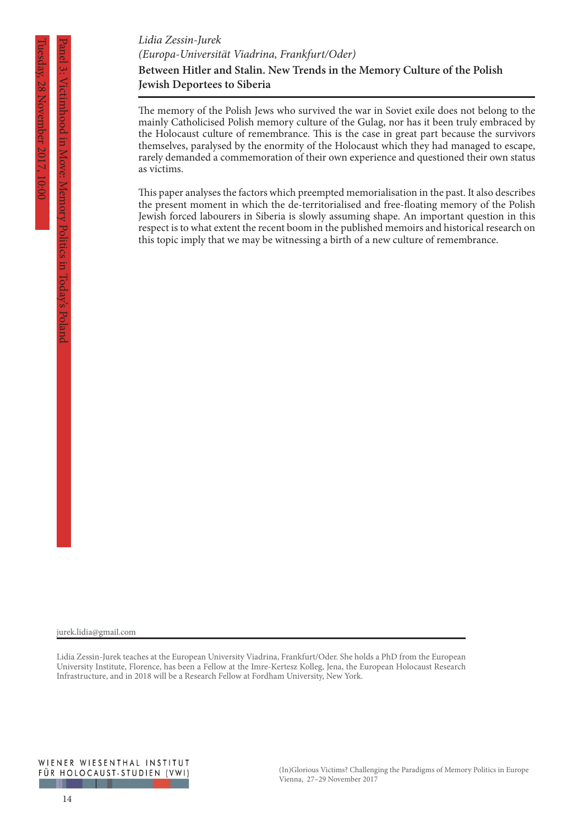The memory of the Polish Jews who survived the war in Soviet exile does not belong to the mainly Catholicised Polish memory culture of the Gulag, nor has it been truly embraced by the Holocaust culture of remembrance. This is the case in great part because the survivors themselves, paralysed by the enormity of the Holocaust which they had managed to escape, rarely demanded a commemoration of their own experience and questioned their own status as victims.

This paper analyses the factors which preempted memorialisation in the past. It also describes the present moment in which the de-territorialised and free-floating memory of the Polish Jewish forced labourers in Siberia is slowly assuming shape. An important question in this respect is to what extent the recent boom in the published memoirs and historical research on this topic imply that we may be witnessing a birth of a new culture of remembrance.

Panel 3: Victimhood in Move: Memory Politics in Today's Poland

**VICtimhood in Move** 

jurek.lidia@gmail.com

Lidia Zessin-Jurek teaches at the European University Viadrina, Frankfurt/Oder. She holds a PhD from the European University Institute, Florence, has been a Fellow at the Imre-Kertesz Kolleg, Jena, the European Holocaust Research Infrastructure, and in 2018 will be a Research Fellow at Fordham University, New York.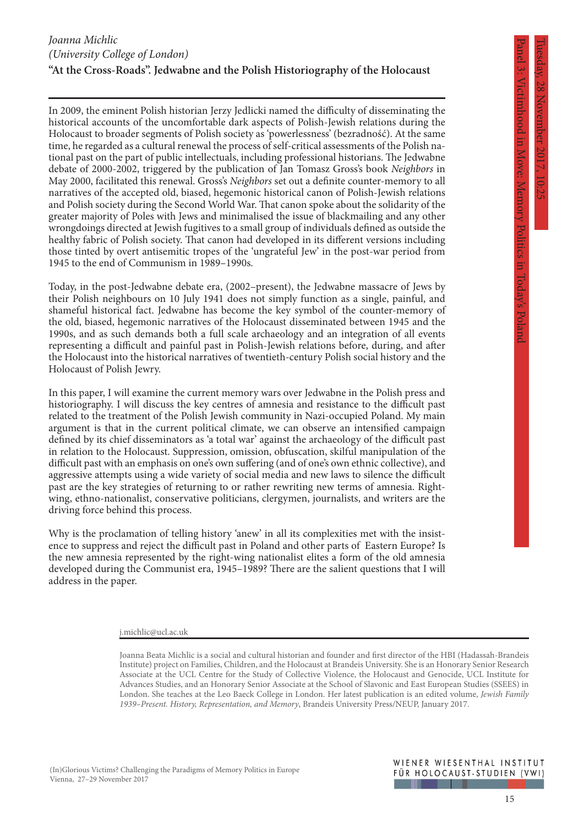Panel 3: Victimhood in Move: Memory Politics in Today's Poland

Memory Politics

in lodavs

Victimhood in Move:

# *Joanna Michlic (University College of London)* **"At the Cross-Roads". Jedwabne and the Polish Historiography of the Holocaust**

In 2009, the eminent Polish historian Jerzy Jedlicki named the difficulty of disseminating the historical accounts of the uncomfortable dark aspects of Polish-Jewish relations during the Holocaust to broader segments of Polish society as 'powerlessness' (bezradność). At the same time, he regarded as a cultural renewal the process of self-critical assessments of the Polish national past on the part of public intellectuals, including professional historians. The Jedwabne debate of 2000-2002, triggered by the publication of Jan Tomasz Gross's book *Neighbors* in May 2000, facilitated this renewal. Gross's *Neighbors* set out a definite counter-memory to all narratives of the accepted old, biased, hegemonic historical canon of Polish-Jewish relations and Polish society during the Second World War. That canon spoke about the solidarity of the greater majority of Poles with Jews and minimalised the issue of blackmailing and any other wrongdoings directed at Jewish fugitives to a small group of individuals defined as outside the healthy fabric of Polish society. That canon had developed in its different versions including those tinted by overt antisemitic tropes of the 'ungrateful Jew' in the post-war period from 1945 to the end of Communism in 1989–1990s.

Today, in the post-Jedwabne debate era, (2002–present), the Jedwabne massacre of Jews by their Polish neighbours on 10 July 1941 does not simply function as a single, painful, and shameful historical fact. Jedwabne has become the key symbol of the counter-memory of the old, biased, hegemonic narratives of the Holocaust disseminated between 1945 and the 1990s, and as such demands both a full scale archaeology and an integration of all events representing a difficult and painful past in Polish-Jewish relations before, during, and after the Holocaust into the historical narratives of twentieth-century Polish social history and the Holocaust of Polish Jewry.

In this paper, I will examine the current memory wars over Jedwabne in the Polish press and historiography. I will discuss the key centres of amnesia and resistance to the difficult past related to the treatment of the Polish Jewish community in Nazi-occupied Poland. My main argument is that in the current political climate, we can observe an intensified campaign defined by its chief disseminators as 'a total war' against the archaeology of the difficult past in relation to the Holocaust. Suppression, omission, obfuscation, skilful manipulation of the difficult past with an emphasis on one's own suffering (and of one's own ethnic collective), and aggressive attempts using a wide variety of social media and new laws to silence the difficult past are the key strategies of returning to or rather rewriting new terms of amnesia. Rightwing, ethno-nationalist, conservative politicians, clergymen, journalists, and writers are the driving force behind this process.

Why is the proclamation of telling history 'anew' in all its complexities met with the insistence to suppress and reject the difficult past in Poland and other parts of Eastern Europe? Is the new amnesia represented by the right-wing nationalist elites a form of the old amnesia developed during the Communist era, 1945–1989? There are the salient questions that I will address in the paper.

#### j.michlic@ucl.ac.uk

Joanna Beata Michlic is a social and cultural historian and founder and first director of the HBI (Hadassah-Brandeis Institute) project on Families, Children, and the Holocaust at Brandeis University. She is an Honorary Senior Research Associate at the UCL Centre for the Study of Collective Violence, the Holocaust and Genocide, UCL Institute for Advances Studies, and an Honorary Senior Associate at the School of Slavonic and East European Studies (SSEES) in London. She teaches at the Leo Baeck College in London. Her latest publication is an edited volume, *Jewish Family 1939–Present. History, Representation, and Memory*, Brandeis University Press/NEUP, January 2017.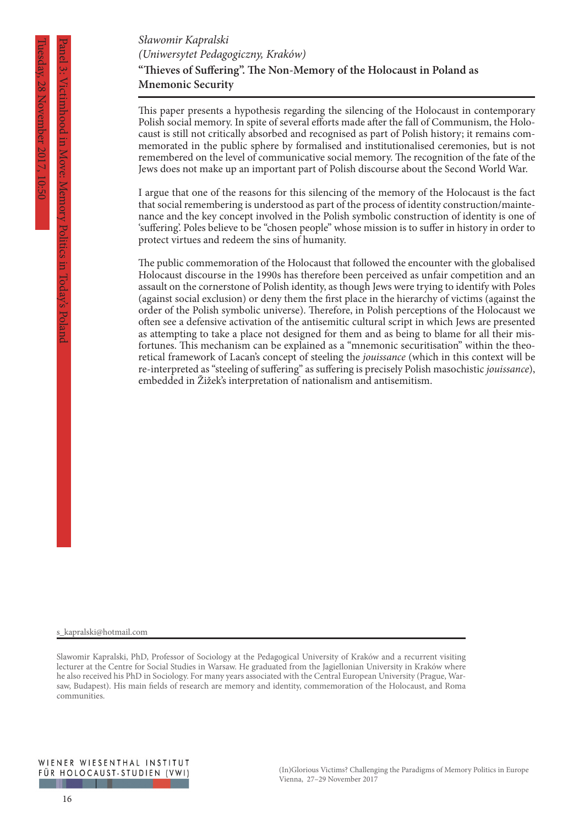Panel 3: Victimhood in Move: Memory Politics in Today's Poland

**"Thieves of Suffering". The Non-Memory of the Holocaust in Poland as Mnemonic Security** *Sławomir Kapralski (Uniwersytet Pedagogiczny, Kraków)*

This paper presents a hypothesis regarding the silencing of the Holocaust in contemporary Polish social memory. In spite of several efforts made after the fall of Communism, the Holocaust is still not critically absorbed and recognised as part of Polish history; it remains commemorated in the public sphere by formalised and institutionalised ceremonies, but is not remembered on the level of communicative social memory. The recognition of the fate of the Jews does not make up an important part of Polish discourse about the Second World War.

I argue that one of the reasons for this silencing of the memory of the Holocaust is the fact that social remembering is understood as part of the process of identity construction/maintenance and the key concept involved in the Polish symbolic construction of identity is one of 'suffering'. Poles believe to be "chosen people" whose mission is to suffer in history in order to protect virtues and redeem the sins of humanity.

The public commemoration of the Holocaust that followed the encounter with the globalised Holocaust discourse in the 1990s has therefore been perceived as unfair competition and an assault on the cornerstone of Polish identity, as though Jews were trying to identify with Poles (against social exclusion) or deny them the first place in the hierarchy of victims (against the order of the Polish symbolic universe). Therefore, in Polish perceptions of the Holocaust we often see a defensive activation of the antisemitic cultural script in which Jews are presented as attempting to take a place not designed for them and as being to blame for all their misfortunes. This mechanism can be explained as a "mnemonic securitisation" within the theoretical framework of Lacan's concept of steeling the *jouissance* (which in this context will be re-interpreted as "steeling of suffering" as suffering is precisely Polish masochistic *jouissance*), embedded in Žižek's interpretation of nationalism and antisemitism.

s\_kapralski@hotmail.com

Slawomir Kapralski, PhD, Professor of Sociology at the Pedagogical University of Kraków and a recurrent visiting lecturer at the Centre for Social Studies in Warsaw. He graduated from the Jagiellonian University in Kraków where he also received his PhD in Sociology. For many years associated with the Central European University (Prague, Warsaw, Budapest). His main fields of research are memory and identity, commemoration of the Holocaust, and Roma communities.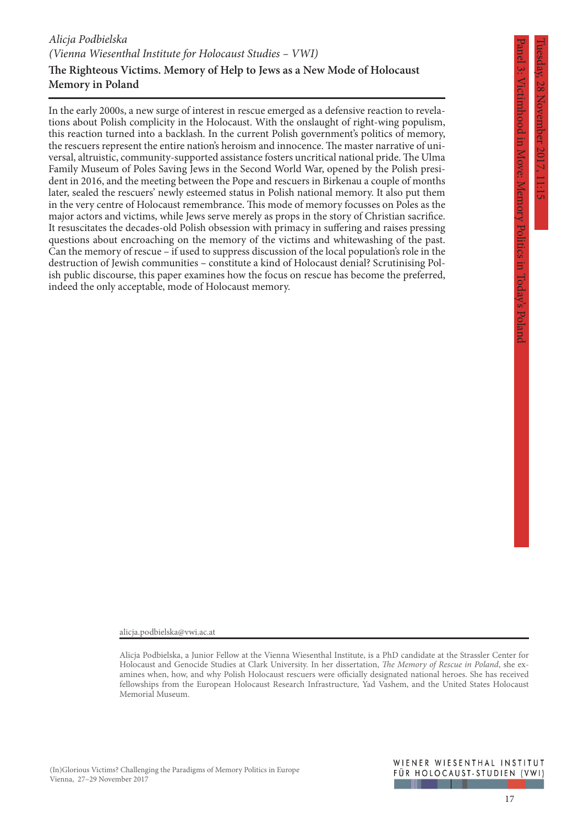# **The Righteous Victims. Memory of Help to Jews as a New Mode of Holocaust Memory in Poland**

In the early 2000s, a new surge of interest in rescue emerged as a defensive reaction to revelations about Polish complicity in the Holocaust. With the onslaught of right-wing populism, this reaction turned into a backlash. In the current Polish government's politics of memory, the rescuers represent the entire nation's heroism and innocence. The master narrative of universal, altruistic, community-supported assistance fosters uncritical national pride. The Ulma Family Museum of Poles Saving Jews in the Second World War, opened by the Polish president in 2016, and the meeting between the Pope and rescuers in Birkenau a couple of months later, sealed the rescuers' newly esteemed status in Polish national memory. It also put them in the very centre of Holocaust remembrance. This mode of memory focusses on Poles as the major actors and victims, while Jews serve merely as props in the story of Christian sacrifice. It resuscitates the decades-old Polish obsession with primacy in suffering and raises pressing questions about encroaching on the memory of the victims and whitewashing of the past. Can the memory of rescue – if used to suppress discussion of the local population's role in the destruction of Jewish communities – constitute a kind of Holocaust denial? Scrutinising Polish public discourse, this paper examines how the focus on rescue has become the preferred, indeed the only acceptable, mode of Holocaust memory.

Panel 3: Victimhood in Move: Memory Politics in Today's Poland

Memory Politics

III 10days

ictimhood in Move:

alicja.podbielska@vwi.ac.at

Alicja Podbielska, a Junior Fellow at the Vienna Wiesenthal Institute, is a PhD candidate at the Strassler Center for Holocaust and Genocide Studies at Clark University. In her dissertation, *The Memory of Rescue in Poland*, she examines when, how, and why Polish Holocaust rescuers were officially designated national heroes. She has received fellowships from the European Holocaust Research Infrastructure, Yad Vashem, and the United States Holocaust Memorial Museum.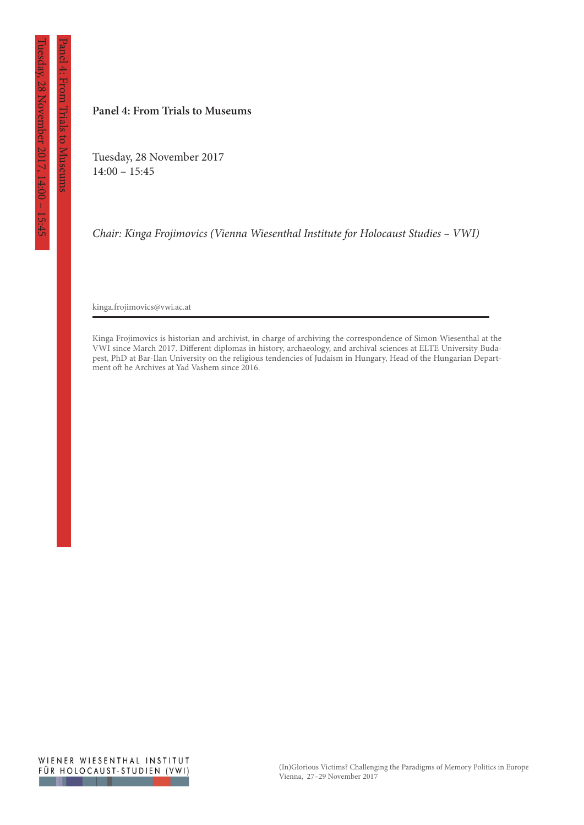Panel 4: From Trials to Museums

Trials to Museums

**From** 

#### **Panel 4: From Trials to Museums**

Tuesday, 28 November 2017 14:00 – 15:45

*Chair: Kinga Frojimovics (Vienna Wiesenthal Institute for Holocaust Studies – VWI)*

kinga.frojimovics@vwi.ac.at

Kinga Frojimovics is historian and archivist, in charge of archiving the correspondence of Simon Wiesenthal at the VWI since March 2017. Different diplomas in history, archaeology, and archival sciences at ELTE University Budapest, PhD at Bar-Ilan University on the religious tendencies of Judaism in Hungary, Head of the Hungarian Department oft he Archives at Yad Vashem since 2016.

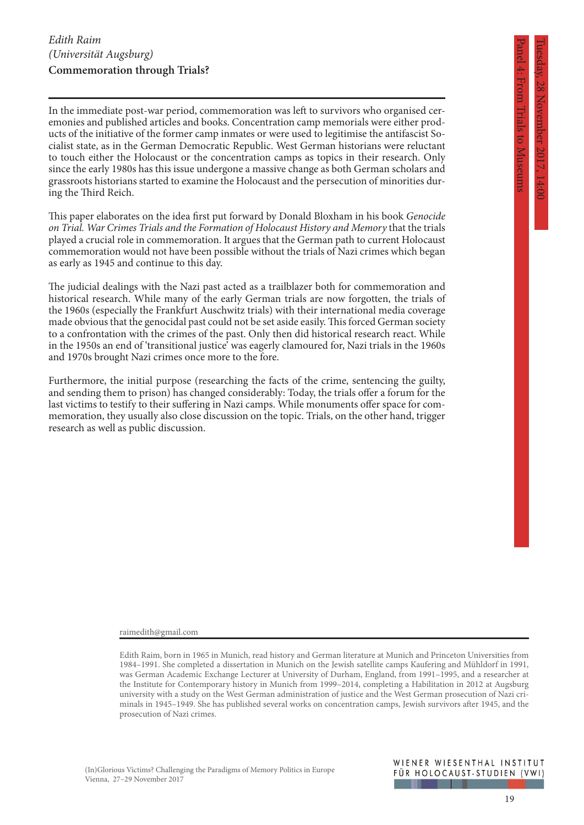In the immediate post-war period, commemoration was left to survivors who organised ceremonies and published articles and books. Concentration camp memorials were either products of the initiative of the former camp inmates or were used to legitimise the antifascist Socialist state, as in the German Democratic Republic. West German historians were reluctant to touch either the Holocaust or the concentration camps as topics in their research. Only since the early 1980s has this issue undergone a massive change as both German scholars and grassroots historians started to examine the Holocaust and the persecution of minorities during the Third Reich.

This paper elaborates on the idea first put forward by Donald Bloxham in his book *Genocide on Trial. War Crimes Trials and the Formation of Holocaust History and Memory* that the trials played a crucial role in commemoration. It argues that the German path to current Holocaust commemoration would not have been possible without the trials of Nazi crimes which began as early as 1945 and continue to this day.

The judicial dealings with the Nazi past acted as a trailblazer both for commemoration and historical research. While many of the early German trials are now forgotten, the trials of the 1960s (especially the Frankfurt Auschwitz trials) with their international media coverage made obvious that the genocidal past could not be set aside easily. This forced German society to a confrontation with the crimes of the past. Only then did historical research react. While in the 1950s an end of 'transitional justice' was eagerly clamoured for, Nazi trials in the 1960s and 1970s brought Nazi crimes once more to the fore.

Furthermore, the initial purpose (researching the facts of the crime, sentencing the guilty, and sending them to prison) has changed considerably: Today, the trials offer a forum for the last victims to testify to their suffering in Nazi camps. While monuments offer space for commemoration, they usually also close discussion on the topic. Trials, on the other hand, trigger research as well as public discussion.

raimedith@gmail.com

#### WIENER WIESENTHAL INSTITUT FÜR HOLOCAUST-STUDIEN (VWI)

Panel 4: From Trials to Museums

to Museums

Edith Raim, born in 1965 in Munich, read history and German literature at Munich and Princeton Universities from 1984–1991. She completed a dissertation in Munich on the Jewish satellite camps Kaufering and Mühldorf in 1991, was German Academic Exchange Lecturer at University of Durham, England, from 1991–1995, and a researcher at the Institute for Contemporary history in Munich from 1999–2014, completing a Habilitation in 2012 at Augsburg university with a study on the West German administration of justice and the West German prosecution of Nazi criminals in 1945–1949. She has published several works on concentration camps, Jewish survivors after 1945, and the prosecution of Nazi crimes.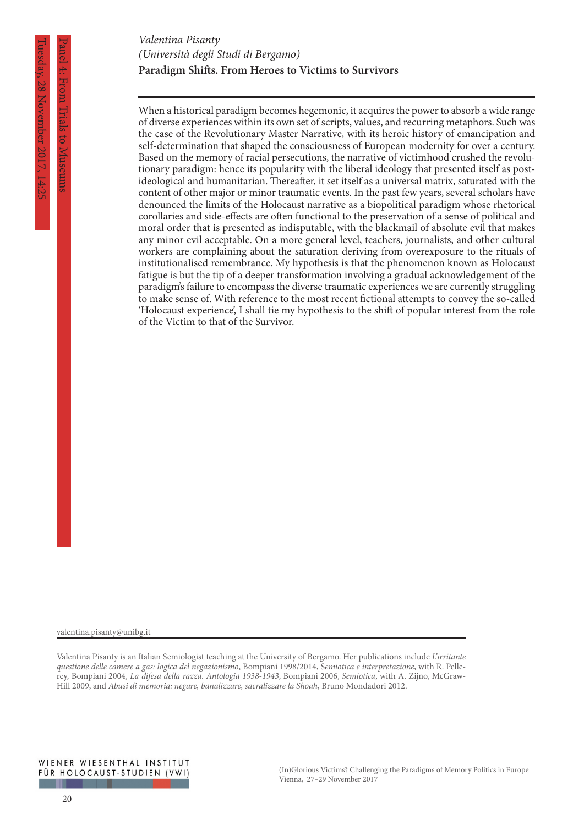# **Paradigm Shifts. From Heroes to Victims to Survivors** *Valentina Pisanty (Università degli Studi di Bergamo)*

When a historical paradigm becomes hegemonic, it acquires the power to absorb a wide range of diverse experiences within its own set of scripts, values, and recurring metaphors. Such was the case of the Revolutionary Master Narrative, with its heroic history of emancipation and self-determination that shaped the consciousness of European modernity for over a century. Based on the memory of racial persecutions, the narrative of victimhood crushed the revolutionary paradigm: hence its popularity with the liberal ideology that presented itself as postideological and humanitarian. Thereafter, it set itself as a universal matrix, saturated with the content of other major or minor traumatic events. In the past few years, several scholars have denounced the limits of the Holocaust narrative as a biopolitical paradigm whose rhetorical corollaries and side-effects are often functional to the preservation of a sense of political and moral order that is presented as indisputable, with the blackmail of absolute evil that makes any minor evil acceptable. On a more general level, teachers, journalists, and other cultural workers are complaining about the saturation deriving from overexposure to the rituals of institutionalised remembrance. My hypothesis is that the phenomenon known as Holocaust fatigue is but the tip of a deeper transformation involving a gradual acknowledgement of the paradigm's failure to encompass the diverse traumatic experiences we are currently struggling to make sense of. With reference to the most recent fictional attempts to convey the so-called 'Holocaust experience', I shall tie my hypothesis to the shift of popular interest from the role of the Victim to that of the Survivor.

valentina.pisanty@unibg.it

Valentina Pisanty is an Italian Semiologist teaching at the University of Bergamo. Her publications include *L'irritante questione delle camere a gas: logica del negazionismo*, Bompiani 1998/2014, S*emiotica e interpretazione*, with R. Pellerey, Bompiani 2004, *La difesa della razza. Antologia 1938-1943*, Bompiani 2006, *Semiotica*, with A. Zijno, McGraw-Hill 2009, and *Abusi di memoria: negare, banalizzare, sacralizzare la Shoah*, Bruno Mondadori 2012.

Panel 4: From Trials to Museums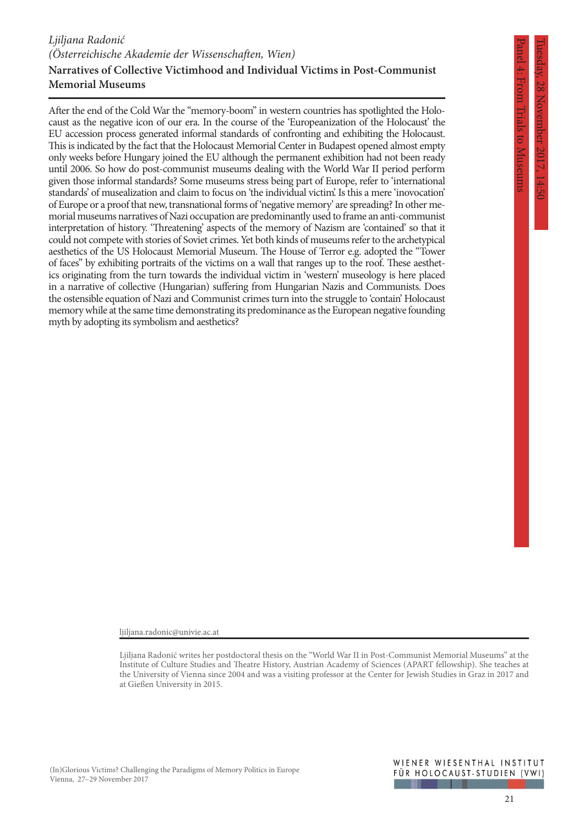#### **Narratives of Collective Victimhood and Individual Victims in Post-Communist Memorial Museums** *Ljiljana Radonić (Österreichische Akademie der Wissenschaften, Wien)*

After the end of the Cold War the "memory-boom" in western countries has spotlighted the Holocaust as the negative icon of our era. In the course of the 'Europeanization of the Holocaust' the EU accession process generated informal standards of confronting and exhibiting the Holocaust. This is indicated by the fact that the Holocaust Memorial Center in Budapest opened almost empty only weeks before Hungary joined the EU although the permanent exhibition had not been ready until 2006. So how do post-communist museums dealing with the World War II period perform given those informal standards? Some museums stress being part of Europe, refer to 'international standards' of musealization and claim to focus on 'the individual victim'. Is this a mere 'inovocation' of Europe or a proof that new, transnational forms of 'negative memory' are spreading? In other memorial museums narratives of Nazi occupation are predominantly used to frame an anti-communist interpretation of history. 'Threatening' aspects of the memory of Nazism are 'contained' so that it could not compete with stories of Soviet crimes. Yet both kinds of museums refer to the archetypical aesthetics of the US Holocaust Memorial Museum. The House of Terror e.g. adopted the "Tower of faces" by exhibiting portraits of the victims on a wall that ranges up to the roof. These aesthetics originating from the turn towards the individual victim in 'western' museology is here placed in a narrative of collective (Hungarian) suffering from Hungarian Nazis and Communists. Does the ostensible equation of Nazi and Communist crimes turn into the struggle to 'contain' Holocaust memory while at the same time demonstrating its predominance as the European negative founding myth by adopting its symbolism and aesthetics?

Panel 4: From Trials to Museums

Irials to Museums

ljiljana.radonic@univie.ac.at

Ljiljana Radonić writes her postdoctoral thesis on the "World War II in Post-Communist Memorial Museums" at the Institute of Culture Studies and Theatre History, Austrian Academy of Sciences (APART fellowship). She teaches at the University of Vienna since 2004 and was a visiting professor at the Center for Jewish Studies in Graz in 2017 and at Gießen University in 2015.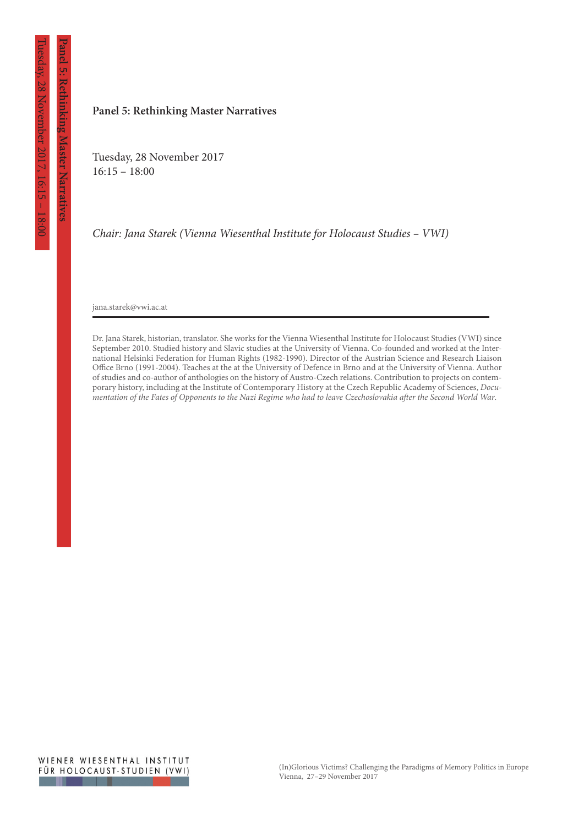**Panel 5: Rethinking Master Narratives**

anel 5: Rethinking Master Narratives

#### **Panel 5: Rethinking Master Narratives**

Tuesday, 28 November 2017 16:15 – 18:00

*Chair: Jana Starek (Vienna Wiesenthal Institute for Holocaust Studies – VWI)*

jana.starek@vwi.ac.at

Dr. Jana Starek, historian, translator. She works for the Vienna Wiesenthal Institute for Holocaust Studies (VWI) since September 2010. Studied history and Slavic studies at the University of Vienna. Co-founded and worked at the International Helsinki Federation for Human Rights (1982-1990). Director of the Austrian Science and Research Liaison Office Brno (1991-2004). Teaches at the at the University of Defence in Brno and at the University of Vienna. Author of studies and co-author of anthologies on the history of Austro-Czech relations. Contribution to projects on contemporary history, including at the Institute of Contemporary History at the Czech Republic Academy of Sciences, *Documentation of the Fates of Opponents to the Nazi Regime who had to leave Czechoslovakia after the Second World War*.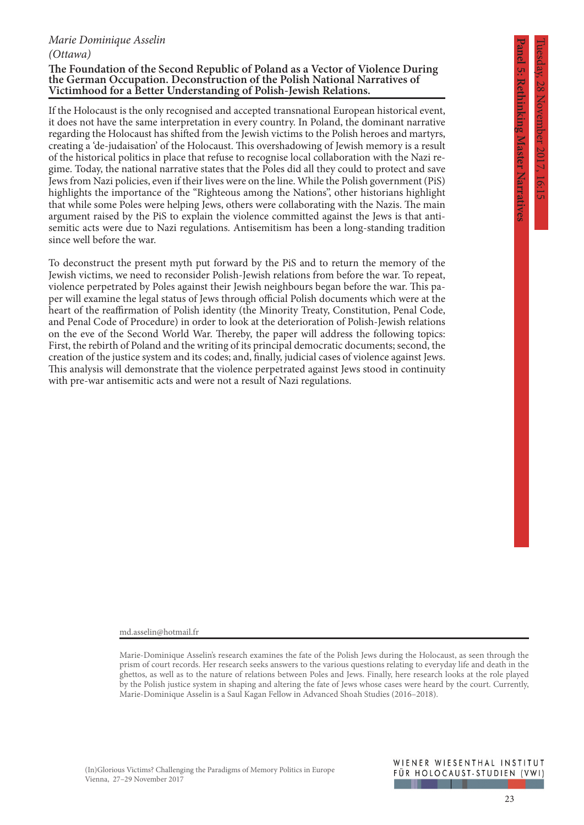**Rethinking Master Narratives** 

# *Marie Dominique Asselin (Ottawa)*

#### **The Foundation of the Second Republic of Poland as a Vector of Violence During the German Occupation. Deconstruction of the Polish National Narratives of Victimhood for a Better Understanding of Polish-Jewish Relations.**

If the Holocaust is the only recognised and accepted transnational European historical event, it does not have the same interpretation in every country. In Poland, the dominant narrative regarding the Holocaust has shifted from the Jewish victims to the Polish heroes and martyrs, creating a 'de-judaisation' of the Holocaust. This overshadowing of Jewish memory is a result of the historical politics in place that refuse to recognise local collaboration with the Nazi regime. Today, the national narrative states that the Poles did all they could to protect and save Jews from Nazi policies, even if their lives were on the line. While the Polish government (PiS) highlights the importance of the "Righteous among the Nations", other historians highlight that while some Poles were helping Jews, others were collaborating with the Nazis. The main argument raised by the PiS to explain the violence committed against the Jews is that antisemitic acts were due to Nazi regulations. Antisemitism has been a long-standing tradition since well before the war.

To deconstruct the present myth put forward by the PiS and to return the memory of the Jewish victims, we need to reconsider Polish-Jewish relations from before the war. To repeat, violence perpetrated by Poles against their Jewish neighbours began before the war. This paper will examine the legal status of Jews through official Polish documents which were at the heart of the reaffirmation of Polish identity (the Minority Treaty, Constitution, Penal Code, and Penal Code of Procedure) in order to look at the deterioration of Polish-Jewish relations on the eve of the Second World War. Thereby, the paper will address the following topics: First, the rebirth of Poland and the writing of its principal democratic documents; second, the creation of the justice system and its codes; and, finally, judicial cases of violence against Jews. This analysis will demonstrate that the violence perpetrated against Jews stood in continuity with pre-war antisemitic acts and were not a result of Nazi regulations.

md.asselin@hotmail.fr

Marie-Dominique Asselin's research examines the fate of the Polish Jews during the Holocaust, as seen through the prism of court records. Her research seeks answers to the various questions relating to everyday life and death in the ghettos, as well as to the nature of relations between Poles and Jews. Finally, here research looks at the role played by the Polish justice system in shaping and altering the fate of Jews whose cases were heard by the court. Currently, Marie-Dominique Asselin is a Saul Kagan Fellow in Advanced Shoah Studies (2016–2018).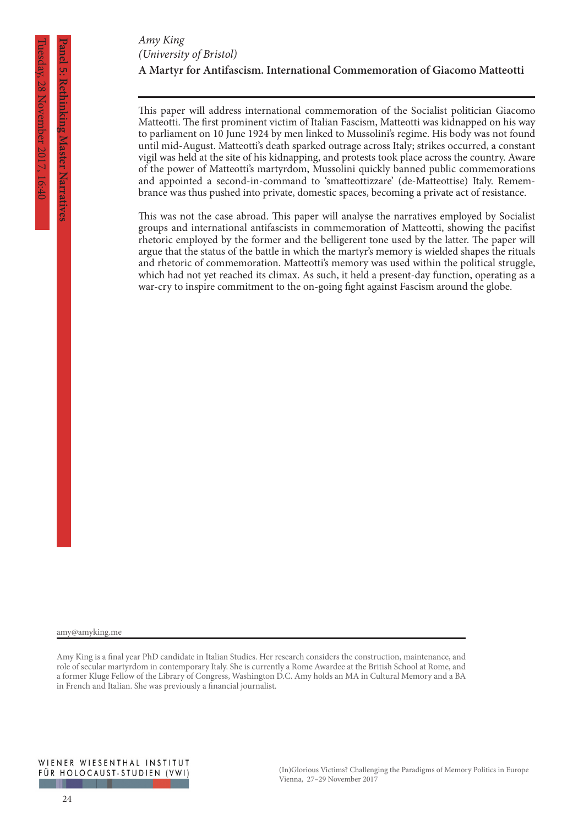# **A Martyr for Antifascism. International Commemoration of Giacomo Matteotti** *Amy King (University of Bristol)*

This paper will address international commemoration of the Socialist politician Giacomo Matteotti. The first prominent victim of Italian Fascism, Matteotti was kidnapped on his way to parliament on 10 June 1924 by men linked to Mussolini's regime. His body was not found until mid-August. Matteotti's death sparked outrage across Italy; strikes occurred, a constant vigil was held at the site of his kidnapping, and protests took place across the country. Aware of the power of Matteotti's martyrdom, Mussolini quickly banned public commemorations and appointed a second-in-command to 'smatteottizzare' (de-Matteottise) Italy. Remembrance was thus pushed into private, domestic spaces, becoming a private act of resistance.

This was not the case abroad. This paper will analyse the narratives employed by Socialist groups and international antifascists in commemoration of Matteotti, showing the pacifist rhetoric employed by the former and the belligerent tone used by the latter. The paper will argue that the status of the battle in which the martyr's memory is wielded shapes the rituals and rhetoric of commemoration. Matteotti's memory was used within the political struggle, which had not yet reached its climax. As such, it held a present-day function, operating as a war-cry to inspire commitment to the on-going fight against Fascism around the globe.

amy@amyking.me

nel 5: Rethinking Master Narative

**Panel 3: Rethinking Master Narratives** (Panel 3: Panel 3: Retail of the second contract of the second contract of the second contract of the second contract of the second contract of the second contract of the second cont Amy King is a final year PhD candidate in Italian Studies. Her research considers the construction, maintenance, and role of secular martyrdom in contemporary Italy. She is currently a Rome Awardee at the British School at Rome, and a former Kluge Fellow of the Library of Congress, Washington D.C. Amy holds an MA in Cultural Memory and a BA in French and Italian. She was previously a financial journalist.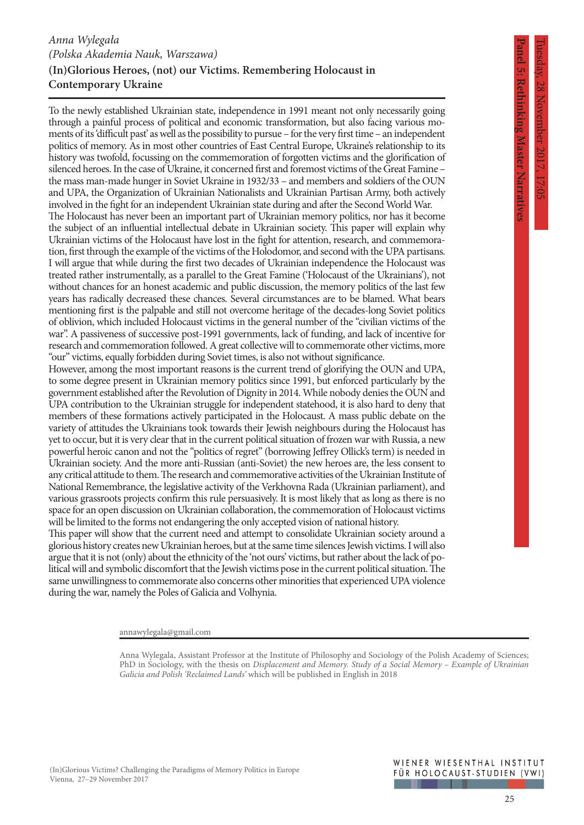**Panel 5: Rethinking Master Narratives**

**Rethinking Master Narratives** 

# **(In)Glorious Heroes, (not) our Victims. Remembering Holocaust in Contemporary Ukraine** *Anna Wylegała (Polska Akademia Nauk, Warszawa)*

To the newly established Ukrainian state, independence in 1991 meant not only necessarily going through a painful process of political and economic transformation, but also facing various moments of its 'difficult past' as well as the possibility to pursue – for the very first time – an independent politics of memory. As in most other countries of East Central Europe, Ukraine's relationship to its history was twofold, focussing on the commemoration of forgotten victims and the glorification of silenced heroes. In the case of Ukraine, it concerned first and foremost victims of the Great Famine – the mass man-made hunger in Soviet Ukraine in 1932/33 – and members and soldiers of the OUN and UPA, the Organization of Ukrainian Nationalists and Ukrainian Partisan Army, both actively involved in the fight for an independent Ukrainian state during and after the Second World War.

The Holocaust has never been an important part of Ukrainian memory politics, nor has it become the subject of an influential intellectual debate in Ukrainian society. This paper will explain why Ukrainian victims of the Holocaust have lost in the fight for attention, research, and commemoration, first through the example of the victims of the Holodomor, and second with the UPA partisans. I will argue that while during the first two decades of Ukrainian independence the Holocaust was treated rather instrumentally, as a parallel to the Great Famine ('Holocaust of the Ukrainians'), not without chances for an honest academic and public discussion, the memory politics of the last few years has radically decreased these chances. Several circumstances are to be blamed. What bears mentioning first is the palpable and still not overcome heritage of the decades-long Soviet politics of oblivion, which included Holocaust victims in the general number of the "civilian victims of the war". A passiveness of successive post-1991 governments, lack of funding, and lack of incentive for research and commemoration followed. A great collective will to commemorate other victims, more "our" victims, equally forbidden during Soviet times, is also not without significance.

However, among the most important reasons is the current trend of glorifying the OUN and UPA, to some degree present in Ukrainian memory politics since 1991, but enforced particularly by the government established after the Revolution of Dignity in 2014. While nobody denies the OUN and UPA contribution to the Ukrainian struggle for independent statehood, it is also hard to deny that members of these formations actively participated in the Holocaust. A mass public debate on the variety of attitudes the Ukrainians took towards their Jewish neighbours during the Holocaust has yet to occur, but it is very clear that in the current political situation of frozen war with Russia, a new powerful heroic canon and not the "politics of regret" (borrowing Jeffrey Ollick's term) is needed in Ukrainian society. And the more anti-Russian (anti-Soviet) the new heroes are, the less consent to any critical attitude to them. The research and commemorative activities of the Ukrainian Institute of National Remembrance, the legislative activity of the Verkhovna Rada (Ukrainian parliament), and various grassroots projects confirm this rule persuasively. It is most likely that as long as there is no space for an open discussion on Ukrainian collaboration, the commemoration of Holocaust victims will be limited to the forms not endangering the only accepted vision of national history.

This paper will show that the current need and attempt to consolidate Ukrainian society around a glorious history creates new Ukrainian heroes, but at the same time silences Jewish victims. I will also argue that it is not (only) about the ethnicity of the 'not ours' victims, but rather about the lack of political will and symbolic discomfort that the Jewish victims pose in the current political situation. The same unwillingness to commemorate also concerns other minorities that experienced UPA violence during the war, namely the Poles of Galicia and Volhynia.

annawylegala@gmail.com

Anna Wylegala, Assistant Professor at the Institute of Philosophy and Sociology of the Polish Academy of Sciences; PhD in Sociology, with the thesis on *Displacement and Memory. Study of a Social Memory – Example of Ukrainian Galicia and Polish 'Reclaimed Lands'* which will be published in English in 2018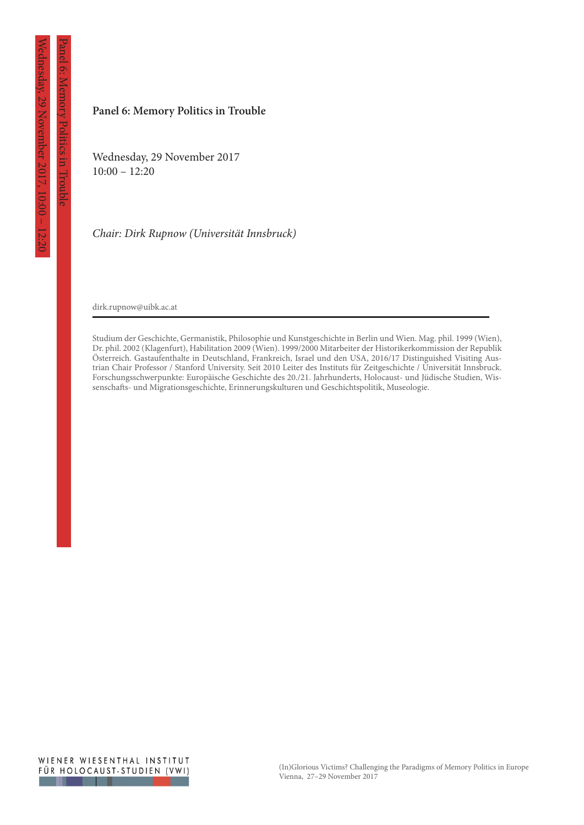Panel 6: Memory Politics in Trouble

Memory Politics in Troup

#### **Panel 6: Memory Politics in Trouble**

Wednesday, 29 November 2017  $10:00 - 12:20$ 

*Chair: Dirk Rupnow (Universität Innsbruck)*

dirk.rupnow@uibk.ac.at

Studium der Geschichte, Germanistik, Philosophie und Kunstgeschichte in Berlin und Wien. Mag. phil. 1999 (Wien), Dr. phil. 2002 (Klagenfurt), Habilitation 2009 (Wien). 1999/2000 Mitarbeiter der Historikerkommission der Republik Österreich. Gastaufenthalte in Deutschland, Frankreich, Israel und den USA, 2016/17 Distinguished Visiting Austrian Chair Professor / Stanford University. Seit 2010 Leiter des Instituts für Zeitgeschichte / Universität Innsbruck. Forschungsschwerpunkte: Europäische Geschichte des 20./21. Jahrhunderts, Holocaust- und Jüdische Studien, Wissenschafts- und Migrationsgeschichte, Erinnerungskulturen und Geschichtspolitik, Museologie.

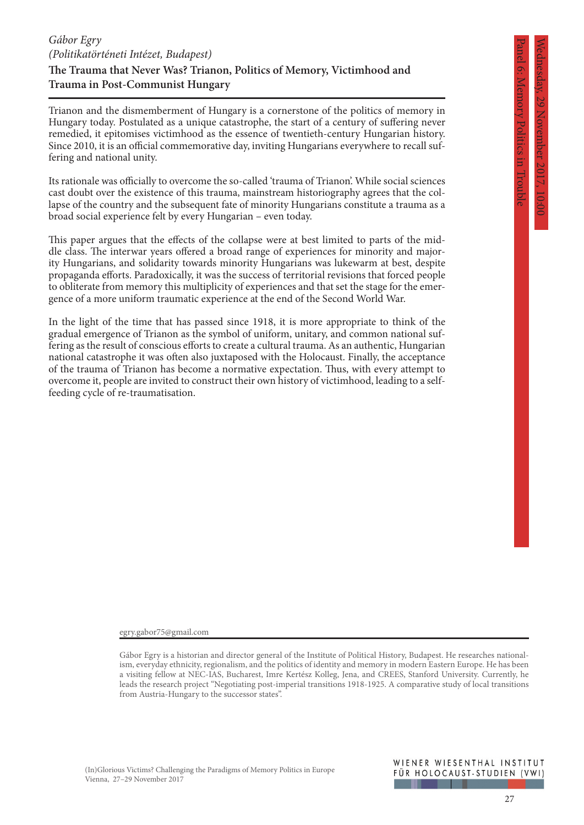Panel 6: Memory Politics in Trouble

Memory Politics in Iroup

# **The Trauma that Never Was? Trianon, Politics of Memory, Victimhood and Trauma in Post-Communist Hungary** *Gábor Egry (Politikatörténeti Intézet, Budapest)*

Trianon and the dismemberment of Hungary is a cornerstone of the politics of memory in Hungary today. Postulated as a unique catastrophe, the start of a century of suffering never remedied, it epitomises victimhood as the essence of twentieth-century Hungarian history. Since 2010, it is an official commemorative day, inviting Hungarians everywhere to recall suffering and national unity.

Its rationale was officially to overcome the so-called 'trauma of Trianon'. While social sciences cast doubt over the existence of this trauma, mainstream historiography agrees that the collapse of the country and the subsequent fate of minority Hungarians constitute a trauma as a broad social experience felt by every Hungarian – even today.

This paper argues that the effects of the collapse were at best limited to parts of the middle class. The interwar years offered a broad range of experiences for minority and majority Hungarians, and solidarity towards minority Hungarians was lukewarm at best, despite propaganda efforts. Paradoxically, it was the success of territorial revisions that forced people to obliterate from memory this multiplicity of experiences and that set the stage for the emergence of a more uniform traumatic experience at the end of the Second World War.

In the light of the time that has passed since 1918, it is more appropriate to think of the gradual emergence of Trianon as the symbol of uniform, unitary, and common national suffering as the result of conscious efforts to create a cultural trauma. As an authentic, Hungarian national catastrophe it was often also juxtaposed with the Holocaust. Finally, the acceptance of the trauma of Trianon has become a normative expectation. Thus, with every attempt to overcome it, people are invited to construct their own history of victimhood, leading to a selffeeding cycle of re-traumatisation.

egry.gabor75@gmail.com

Gábor Egry is a historian and director general of the Institute of Political History, Budapest. He researches nationalism, everyday ethnicity, regionalism, and the politics of identity and memory in modern Eastern Europe. He has been a visiting fellow at NEC-IAS, Bucharest, Imre Kertész Kolleg, Jena, and CREES, Stanford University. Currently, he leads the research project "Negotiating post-imperial transitions 1918-1925. A comparative study of local transitions from Austria-Hungary to the successor states".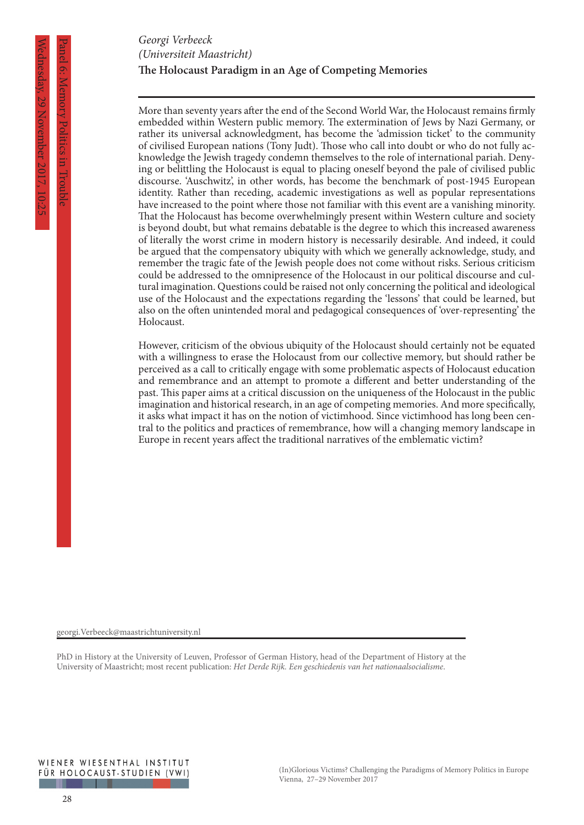# **The Holocaust Paradigm in an Age of Competing Memories** *Georgi Verbeeck (Universiteit Maastricht)*

More than seventy years after the end of the Second World War, the Holocaust remains firmly embedded within Western public memory. The extermination of Jews by Nazi Germany, or rather its universal acknowledgment, has become the 'admission ticket' to the community of civilised European nations (Tony Judt). Those who call into doubt or who do not fully acknowledge the Jewish tragedy condemn themselves to the role of international pariah. Denying or belittling the Holocaust is equal to placing oneself beyond the pale of civilised public discourse. 'Auschwitz', in other words, has become the benchmark of post-1945 European identity. Rather than receding, academic investigations as well as popular representations have increased to the point where those not familiar with this event are a vanishing minority. That the Holocaust has become overwhelmingly present within Western culture and society is beyond doubt, but what remains debatable is the degree to which this increased awareness of literally the worst crime in modern history is necessarily desirable. And indeed, it could be argued that the compensatory ubiquity with which we generally acknowledge, study, and remember the tragic fate of the Jewish people does not come without risks. Serious criticism could be addressed to the omnipresence of the Holocaust in our political discourse and cultural imagination. Questions could be raised not only concerning the political and ideological use of the Holocaust and the expectations regarding the 'lessons' that could be learned, but also on the often unintended moral and pedagogical consequences of 'over-representing' the Holocaust.

However, criticism of the obvious ubiquity of the Holocaust should certainly not be equated with a willingness to erase the Holocaust from our collective memory, but should rather be perceived as a call to critically engage with some problematic aspects of Holocaust education and remembrance and an attempt to promote a different and better understanding of the past. This paper aims at a critical discussion on the uniqueness of the Holocaust in the public imagination and historical research, in an age of competing memories. And more specifically, it asks what impact it has on the notion of victimhood. Since victimhood has long been central to the politics and practices of remembrance, how will a changing memory landscape in Europe in recent years affect the traditional narratives of the emblematic victim?

georgi.Verbeeck@maastrichtuniversity.nl

PhD in History at the University of Leuven, Professor of German History, head of the Department of History at the University of Maastricht; most recent publication: *Het Derde Rijk. Een geschiedenis van het nationaalsocialisme*.

Panel 6: Memory Politics in Trouble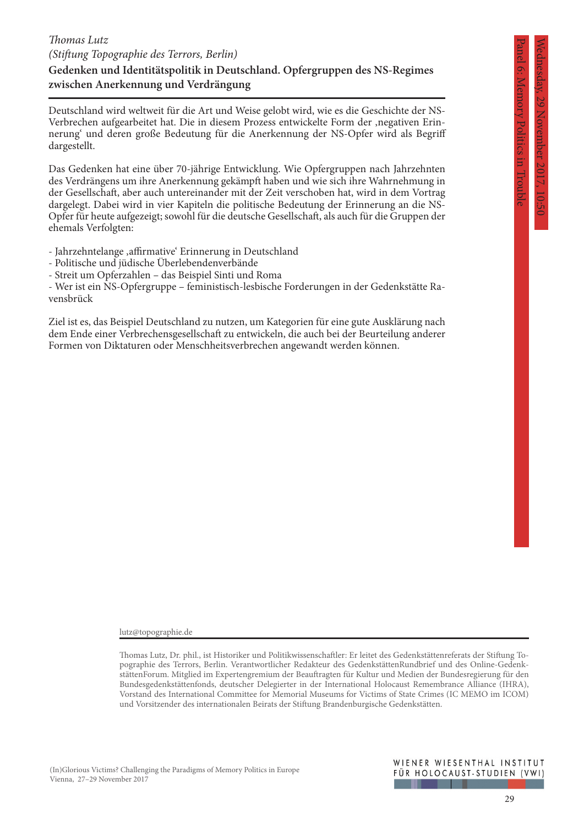Panel 6: Memory Politics in Trouble

Memory Politics in Troubl

# **Gedenken und Identitätspolitik in Deutschland. Opfergruppen des NS-Regimes**  *Thomas Lutz (Stiftung Topographie des Terrors, Berlin)*

#### **zwischen Anerkennung und Verdrängung**

Deutschland wird weltweit für die Art und Weise gelobt wird, wie es die Geschichte der NS-Verbrechen aufgearbeitet hat. Die in diesem Prozess entwickelte Form der ,negativen Erinnerung' und deren große Bedeutung für die Anerkennung der NS-Opfer wird als Begriff dargestellt.

Das Gedenken hat eine über 70-jährige Entwicklung. Wie Opfergruppen nach Jahrzehnten des Verdrängens um ihre Anerkennung gekämpft haben und wie sich ihre Wahrnehmung in der Gesellschaft, aber auch untereinander mit der Zeit verschoben hat, wird in dem Vortrag dargelegt. Dabei wird in vier Kapiteln die politische Bedeutung der Erinnerung an die NS-Opfer für heute aufgezeigt; sowohl für die deutsche Gesellschaft, als auch für die Gruppen der ehemals Verfolgten:

- Jahrzehntelange ,affirmative' Erinnerung in Deutschland

- Politische und jüdische Überlebendenverbände
- Streit um Opferzahlen das Beispiel Sinti und Roma

- Wer ist ein NS-Opfergruppe – feministisch-lesbische Forderungen in der Gedenkstätte Ravensbrück

Ziel ist es, das Beispiel Deutschland zu nutzen, um Kategorien für eine gute Ausklärung nach dem Ende einer Verbrechensgesellschaft zu entwickeln, die auch bei der Beurteilung anderer Formen von Diktaturen oder Menschheitsverbrechen angewandt werden können.

lutz@topographie.de

Thomas Lutz, Dr. phil., ist Historiker und Politikwissenschaftler: Er leitet des Gedenkstättenreferats der Stiftung Topographie des Terrors, Berlin. Verantwortlicher Redakteur des GedenkstättenRundbrief und des Online-GedenkstättenForum. Mitglied im Expertengremium der Beauftragten für Kultur und Medien der Bundesregierung für den Bundesgedenkstättenfonds, deutscher Delegierter in der International Holocaust Remembrance Alliance (IHRA), Vorstand des International Committee for Memorial Museums for Victims of State Crimes (IC MEMO im ICOM) und Vorsitzender des internationalen Beirats der Stiftung Brandenburgische Gedenkstätten.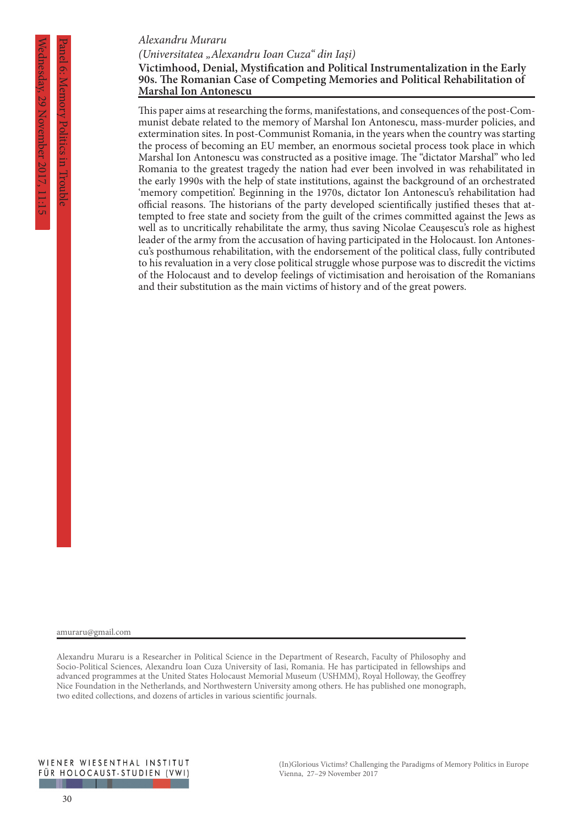#### *Alexandru Muraru*

*(Universitatea "Alexandru Ioan Cuza" din Iaşi)*

#### **Victimhood, Denial, Mystification and Political Instrumentalization in the Early 90s. The Romanian Case of Competing Memories and Political Rehabilitation of Marshal Ion Antonescu**

This paper aims at researching the forms, manifestations, and consequences of the post-Communist debate related to the memory of Marshal Ion Antonescu, mass-murder policies, and extermination sites. In post-Communist Romania, in the years when the country was starting the process of becoming an EU member, an enormous societal process took place in which Marshal Ion Antonescu was constructed as a positive image. The "dictator Marshal" who led Romania to the greatest tragedy the nation had ever been involved in was rehabilitated in the early 1990s with the help of state institutions, against the background of an orchestrated 'memory competition'. Beginning in the 1970s, dictator Ion Antonescu's rehabilitation had official reasons. The historians of the party developed scientifically justified theses that attempted to free state and society from the guilt of the crimes committed against the Jews as well as to uncritically rehabilitate the army, thus saving Nicolae Ceauşescu's role as highest leader of the army from the accusation of having participated in the Holocaust. Ion Antonescu's posthumous rehabilitation, with the endorsement of the political class, fully contributed to his revaluation in a very close political struggle whose purpose was to discredit the victims of the Holocaust and to develop feelings of victimisation and heroisation of the Romanians and their substitution as the main victims of history and of the great powers.

amuraru@gmail.com

Alexandru Muraru is a Researcher in Political Science in the Department of Research, Faculty of Philosophy and Socio-Political Sciences, Alexandru Ioan Cuza University of Iasi, Romania. He has participated in fellowships and advanced programmes at the United States Holocaust Memorial Museum (USHMM), Royal Holloway, the Geoffrey Nice Foundation in the Netherlands, and Northwestern University among others. He has published one monograph, two edited collections, and dozens of articles in various scientific journals.

Panel 6: Memory Politics in Trouble

Politics in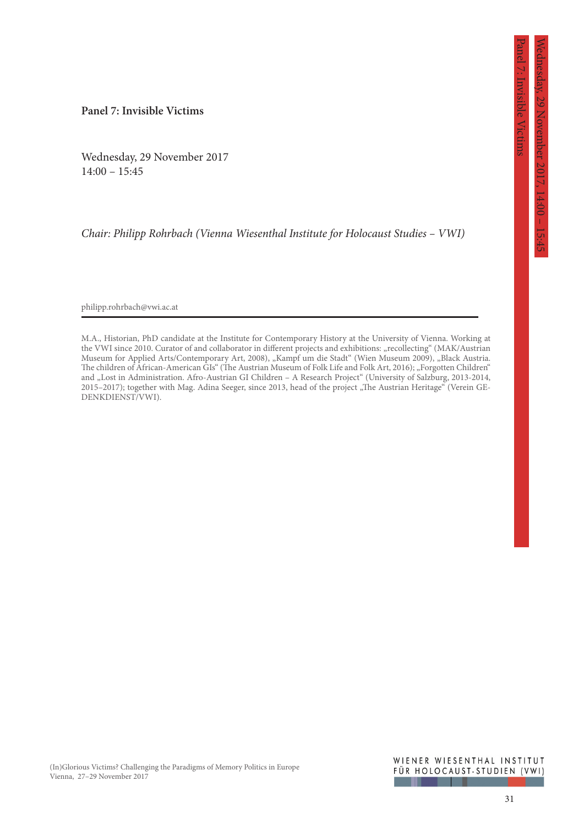Panel 7: Invisible Victims

nvisible Victims

**Panel 7: Invisible Victims**

Wednesday, 29 November 2017  $14:00 - 15:45$ 

*Chair: Philipp Rohrbach (Vienna Wiesenthal Institute for Holocaust Studies – VWI)*

philipp.rohrbach@vwi.ac.at

M.A., Historian, PhD candidate at the Institute for Contemporary History at the University of Vienna. Working at the VWI since 2010. Curator of and collaborator in different projects and exhibitions: "recollecting" (MAK/Austrian Museum for Applied Arts/Contemporary Art, 2008), "Kampf um die Stadt" (Wien Museum 2009), "Black Austria. The children of African-American GIs" (The Austrian Museum of Folk Life and Folk Art, 2016); "Forgotten Children" and "Lost in Administration. Afro-Austrian GI Children - A Research Project" (University of Salzburg, 2013-2014, 2015–2017); together with Mag. Adina Seeger, since 2013, head of the project "The Austrian Heritage" (Verein GE-DENKDIENST/VWI).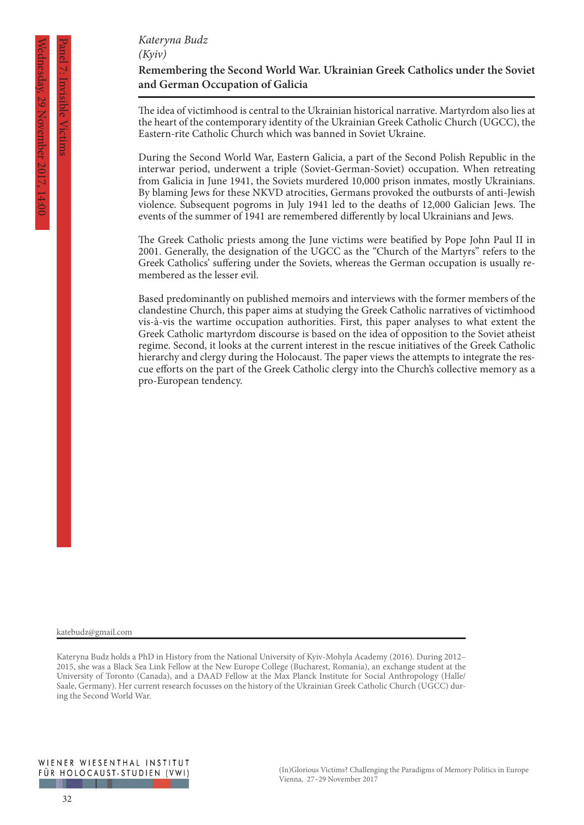# *Kateryna Budz (Kyiv)*

# **Remembering the Second World War. Ukrainian Greek Catholics under the Soviet and German Occupation of Galicia**

The idea of victimhood is central to the Ukrainian historical narrative. Martyrdom also lies at the heart of the contemporary identity of the Ukrainian Greek Catholic Church (UGCC), the Eastern-rite Catholic Church which was banned in Soviet Ukraine.

During the Second World War, Eastern Galicia, a part of the Second Polish Republic in the interwar period, underwent a triple (Soviet-German-Soviet) occupation. When retreating from Galicia in June 1941, the Soviets murdered 10,000 prison inmates, mostly Ukrainians. By blaming Jews for these NKVD atrocities, Germans provoked the outbursts of anti-Jewish violence. Subsequent pogroms in July 1941 led to the deaths of 12,000 Galician Jews. The events of the summer of 1941 are remembered differently by local Ukrainians and Jews.

The Greek Catholic priests among the June victims were beatified by Pope John Paul II in 2001. Generally, the designation of the UGCC as the "Church of the Martyrs" refers to the Greek Catholics' suffering under the Soviets, whereas the German occupation is usually remembered as the lesser evil.

Based predominantly on published memoirs and interviews with the former members of the clandestine Church, this paper aims at studying the Greek Catholic narratives of victimhood vis-à-vis the wartime occupation authorities. First, this paper analyses to what extent the Greek Catholic martyrdom discourse is based on the idea of opposition to the Soviet atheist regime. Second, it looks at the current interest in the rescue initiatives of the Greek Catholic hierarchy and clergy during the Holocaust. The paper views the attempts to integrate the rescue efforts on the part of the Greek Catholic clergy into the Church's collective memory as a pro-European tendency.

katebudz@gmail.com

Panel 7: Invisible Victims

Kateryna Budz holds a PhD in History from the National University of Kyiv-Mohyla Academy (2016). During 2012– 2015, she was a Black Sea Link Fellow at the New Europe College (Bucharest, Romania), an exchange student at the University of Toronto (Canada), and a DAAD Fellow at the Max Planck Institute for Social Anthropology (Halle/ Saale, Germany). Her current research focusses on the history of the Ukrainian Greek Catholic Church (UGCC) during the Second World War.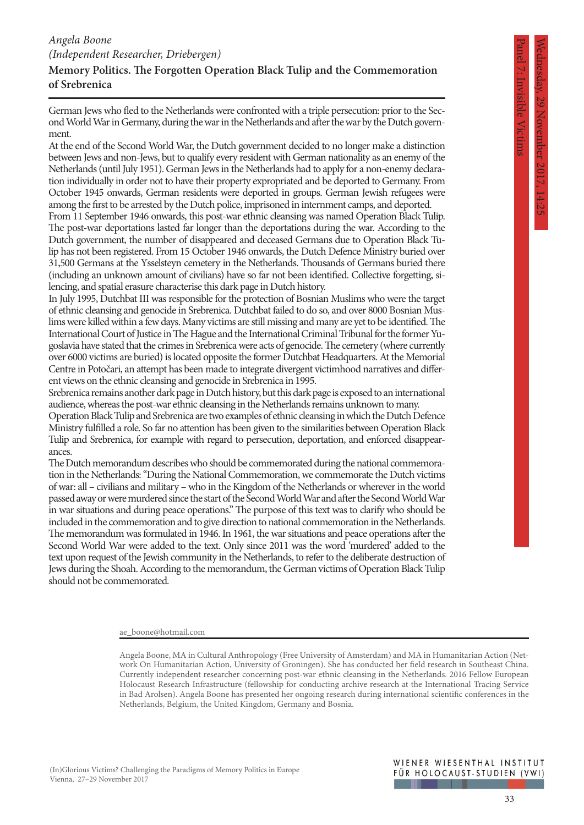Panel 7: Invisible Victims

# **Memory Politics. The Forgotten Operation Black Tulip and the Commemoration of Srebrenica**

German Jews who fled to the Netherlands were confronted with a triple persecution: prior to the Second World War in Germany, during the war in the Netherlands and after the war by the Dutch government.

At the end of the Second World War, the Dutch government decided to no longer make a distinction between Jews and non-Jews, but to qualify every resident with German nationality as an enemy of the Netherlands (until July 1951). German Jews in the Netherlands had to apply for a non-enemy declaration individually in order not to have their property expropriated and be deported to Germany. From October 1945 onwards, German residents were deported in groups. German Jewish refugees were among the first to be arrested by the Dutch police, imprisoned in internment camps, and deported.

From 11 September 1946 onwards, this post-war ethnic cleansing was named Operation Black Tulip. The post-war deportations lasted far longer than the deportations during the war. According to the Dutch government, the number of disappeared and deceased Germans due to Operation Black Tulip has not been registered. From 15 October 1946 onwards, the Dutch Defence Ministry buried over 31,500 Germans at the Ysselsteyn cemetery in the Netherlands. Thousands of Germans buried there (including an unknown amount of civilians) have so far not been identified. Collective forgetting, silencing, and spatial erasure characterise this dark page in Dutch history.

In July 1995, Dutchbat III was responsible for the protection of Bosnian Muslims who were the target of ethnic cleansing and genocide in Srebrenica. Dutchbat failed to do so, and over 8000 Bosnian Muslims were killed within a few days. Many victims are still missing and many are yet to be identified. The International Court of Justice in The Hague and the International Criminal Tribunal for the former Yugoslavia have stated that the crimes in Srebrenica were acts of genocide. The cemetery (where currently over 6000 victims are buried) is located opposite the former Dutchbat Headquarters. At the Memorial Centre in Potočari, an attempt has been made to integrate divergent victimhood narratives and different views on the ethnic cleansing and genocide in Srebrenica in 1995.

Srebrenica remains another dark page in Dutch history, but this dark page is exposed to an international audience, whereas the post-war ethnic cleansing in the Netherlands remains unknown to many.

Operation Black Tulip and Srebrenica are two examples of ethnic cleansing in which the Dutch Defence Ministry fulfilled a role. So far no attention has been given to the similarities between Operation Black Tulip and Srebrenica, for example with regard to persecution, deportation, and enforced disappearances.

The Dutch memorandum describes who should be commemorated during the national commemoration in the Netherlands: "During the National Commemoration, we commemorate the Dutch victims of war: all – civilians and military – who in the Kingdom of the Netherlands or wherever in the world passed away or were murdered since the start of the Second World War and after the Second World War in war situations and during peace operations." The purpose of this text was to clarify who should be included in the commemoration and to give direction to national commemoration in the Netherlands. The memorandum was formulated in 1946. In 1961, the war situations and peace operations after the Second World War were added to the text. Only since 2011 was the word 'murdered' added to the text upon request of the Jewish community in the Netherlands, to refer to the deliberate destruction of Jews during the Shoah. According to the memorandum, the German victims of Operation Black Tulip should not be commemorated.

ae\_boone@hotmail.com

Angela Boone, MA in Cultural Anthropology (Free University of Amsterdam) and MA in Humanitarian Action (Network On Humanitarian Action, University of Groningen). She has conducted her field research in Southeast China. Currently independent researcher concerning post-war ethnic cleansing in the Netherlands. 2016 Fellow European Holocaust Research Infrastructure (fellowship for conducting archive research at the International Tracing Service in Bad Arolsen). Angela Boone has presented her ongoing research during international scientific conferences in the Netherlands, Belgium, the United Kingdom, Germany and Bosnia.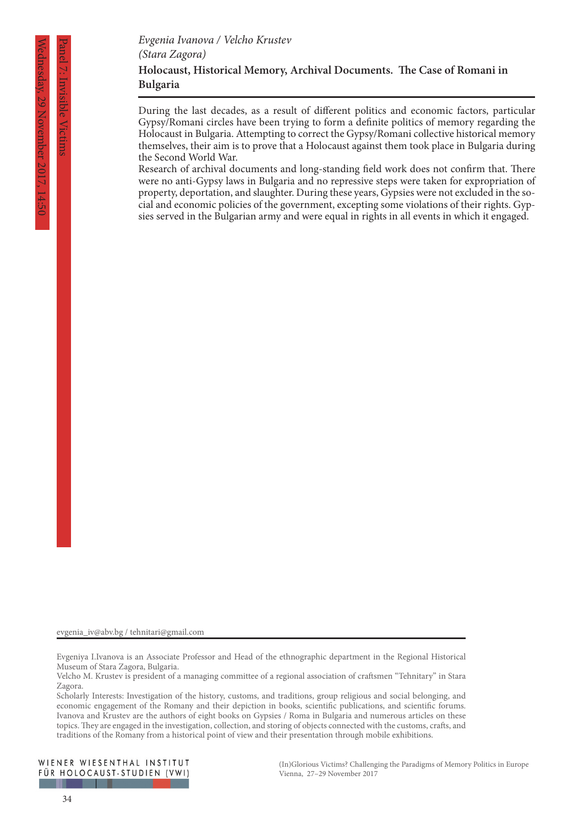Panel 7: Invisible Victims

During the last decades, as a result of different politics and economic factors, particular Gypsy/Romani circles have been trying to form a definite politics of memory regarding the Holocaust in Bulgaria. Attempting to correct the Gypsy/Romani collective historical memory themselves, their aim is to prove that a Holocaust against them took place in Bulgaria during the Second World War.

Research of archival documents and long-standing field work does not confirm that. There were no anti-Gypsy laws in Bulgaria and no repressive steps were taken for expropriation of property, deportation, and slaughter. During these years, Gypsies were not excluded in the social and economic policies of the government, excepting some violations of their rights. Gypsies served in the Bulgarian army and were equal in rights in all events in which it engaged.

evgenia\_iv@abv.bg / tehnitari@gmail.com

Evgeniya I.Ivanova is an Associate Professor and Head of the ethnographic department in the Regional Historical Museum of Stara Zagora, Bulgaria.

Scholarly Interests: Investigation of the history, customs, and traditions, group religious and social belonging, and economic engagement of the Romany and their depiction in books, scientific publications, and scientific forums. Ivanova and Krustev are the authors of eight books on Gypsies / Roma in Bulgaria and numerous articles on these topics. They are engaged in the investigation, collection, and storing of objects connected with the customs, crafts, and traditions of the Romany from a historical point of view and their presentation through mobile exhibitions.

Velcho M. Krustev is president of a managing committee of a regional association of craftsmen "Tehnitary" in Stara Zagora.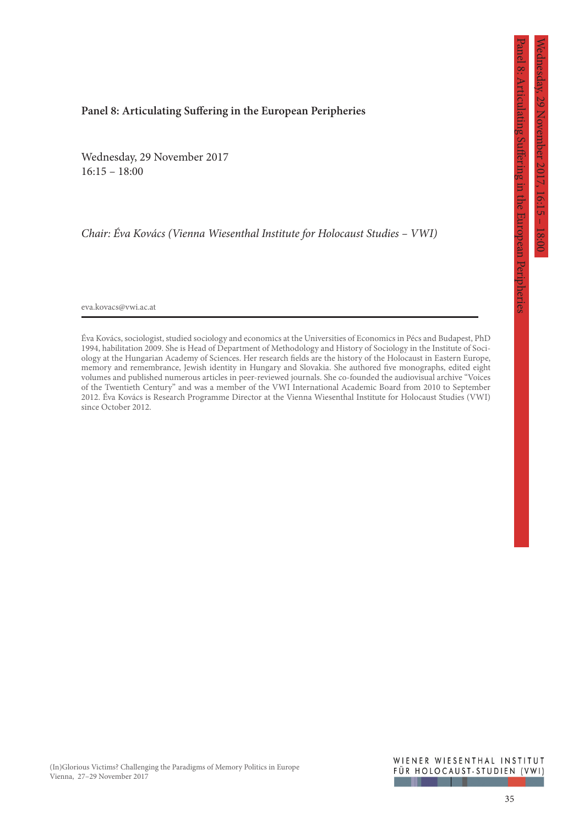Panel 8: Articulating Suffering in the European Peripheries

Articulating Sufficient in the European Peripherie:

#### **Panel 8: Articulating Suffering in the European Peripheries**

Wednesday, 29 November 2017  $16:15 - 18:00$ 

*Chair: Éva Kovács (Vienna Wiesenthal Institute for Holocaust Studies – VWI)*

eva.kovacs@vwi.ac.at

Éva Kovács, sociologist, studied sociology and economics at the Universities of Economics in Pécs and Budapest, PhD 1994, habilitation 2009. She is Head of Department of Methodology and History of Sociology in the Institute of Sociology at the Hungarian Academy of Sciences. Her research fields are the history of the Holocaust in Eastern Europe, memory and remembrance, Jewish identity in Hungary and Slovakia. She authored five monographs, edited eight volumes and published numerous articles in peer-reviewed journals. She co-founded the audiovisual archive "Voices of the Twentieth Century" and was a member of the VWI International Academic Board from 2010 to September 2012. Éva Kovács is Research Programme Director at the Vienna Wiesenthal Institute for Holocaust Studies (VWI) since October 2012.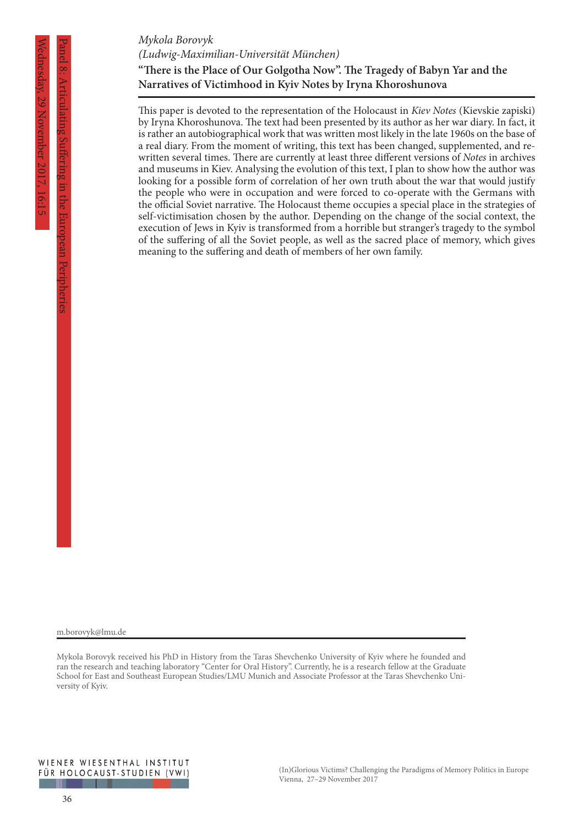# *Mykola Borovyk*

*(Ludwig-Maximilian-Universität München)*

# **"There is the Place of Our Golgotha Now". The Tragedy of Babyn Yar and the Narratives of Victimhood in Kyiv Notes by Iryna Khoroshunova**

This paper is devoted to the representation of the Holocaust in *Kiev Notes* (Kievskie zapiski) by Iryna Khoroshunova. The text had been presented by its author as her war diary. In fact, it is rather an autobiographical work that was written most likely in the late 1960s on the base of a real diary. From the moment of writing, this text has been changed, supplemented, and rewritten several times. There are currently at least three different versions of *Notes* in archives and museums in Kiev. Analysing the evolution of this text, I plan to show how the author was looking for a possible form of correlation of her own truth about the war that would justify the people who were in occupation and were forced to co-operate with the Germans with the official Soviet narrative. The Holocaust theme occupies a special place in the strategies of self-victimisation chosen by the author. Depending on the change of the social context, the execution of Jews in Kyiv is transformed from a horrible but stranger's tragedy to the symbol of the suffering of all the Soviet people, as well as the sacred place of memory, which gives meaning to the suffering and death of members of her own family.

Panel 8: Articulating Suffering in the European Peripheries

m.borovyk@lmu.de

Mykola Borovyk received his PhD in History from the Taras Shevchenko University of Kyiv where he founded and ran the research and teaching laboratory "Center for Oral History". Currently, he is a research fellow at the Graduate School for East and Southeast European Studies/LMU Munich and Associate Professor at the Taras Shevchenko University of Kyiv.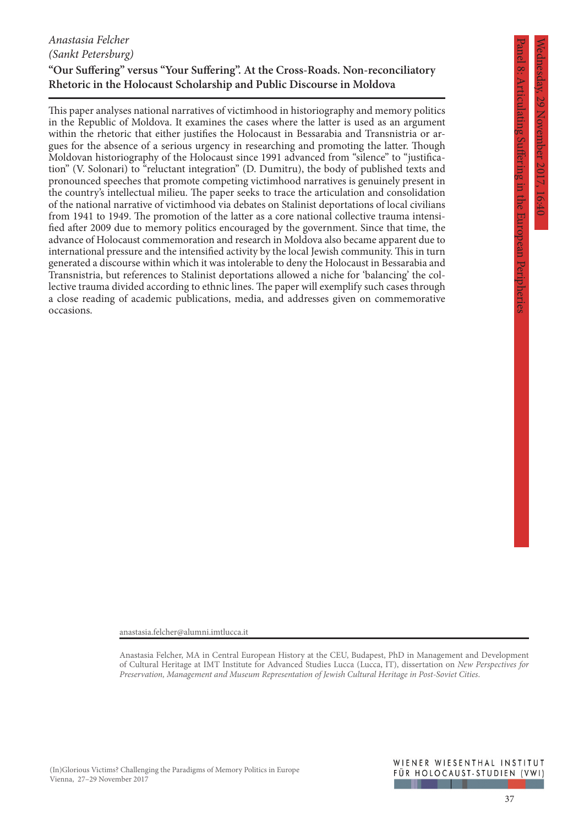# Wednesday, 29 November 2017, 16:40 29 November 2017,

Panel 8: Articulating Suffering in the European Peripheries

Articulating Suffering in the European Peripheries

# *Anastasia Felcher (Sankt Petersburg)*

# **"Our Suffering" versus "Your Suffering". At the Cross-Roads. Non-reconciliatory Rhetoric in the Holocaust Scholarship and Public Discourse in Moldova**

This paper analyses national narratives of victimhood in historiography and memory politics in the Republic of Moldova. It examines the cases where the latter is used as an argument within the rhetoric that either justifies the Holocaust in Bessarabia and Transnistria or argues for the absence of a serious urgency in researching and promoting the latter. Though Moldovan historiography of the Holocaust since 1991 advanced from "silence" to "justification" (V. Solonari) to "reluctant integration" (D. Dumitru), the body of published texts and pronounced speeches that promote competing victimhood narratives is genuinely present in the country's intellectual milieu. The paper seeks to trace the articulation and consolidation of the national narrative of victimhood via debates on Stalinist deportations of local civilians from 1941 to 1949. The promotion of the latter as a core national collective trauma intensified after 2009 due to memory politics encouraged by the government. Since that time, the advance of Holocaust commemoration and research in Moldova also became apparent due to international pressure and the intensified activity by the local Jewish community. This in turn generated a discourse within which it was intolerable to deny the Holocaust in Bessarabia and Transnistria, but references to Stalinist deportations allowed a niche for 'balancing' the collective trauma divided according to ethnic lines. The paper will exemplify such cases through a close reading of academic publications, media, and addresses given on commemorative occasions.

anastasia.felcher@alumni.imtlucca.it

Anastasia Felcher, MA in Central European History at the CEU, Budapest, PhD in Management and Development of Cultural Heritage at IMT Institute for Advanced Studies Lucca (Lucca, IT), dissertation on *New Perspectives for Preservation, Management and Museum Representation of Jewish Cultural Heritage in Post-Soviet Cities*.